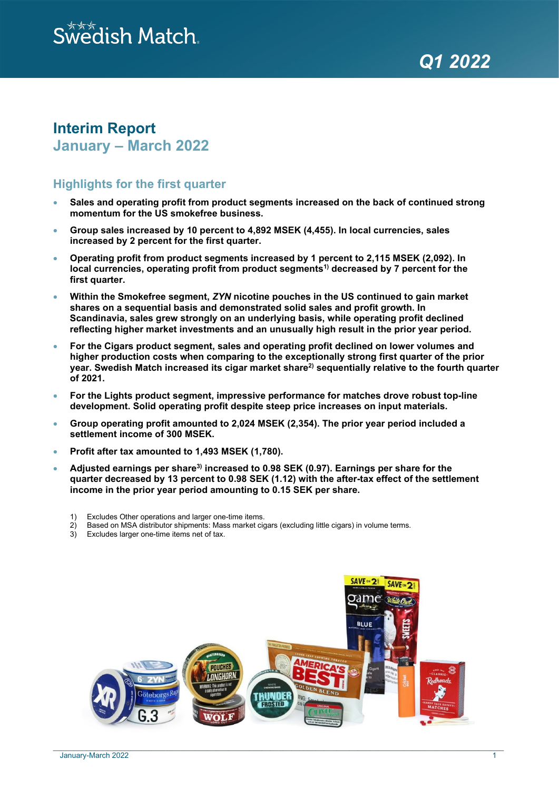# $\stackrel{\scriptscriptstyle\rm W}{\scriptscriptstyle\rm W}$ edish Match.

*QQ1120202222*

# **Interim Report January – March 2022**

# **Highlights for the first quarter**

- **Sales and operating profit from product segments increased on the back of continued strong momentum for the US smokefree business.**
- **Group sales increased by 10 percent to 4,892 MSEK (4,455). In local currencies, sales increased by 2 percent for the first quarter.**
- **Operating profit from product segments increased by 1 percent to 2,115 MSEK (2,092). In**  local currencies, operating profit from product segments<sup>1)</sup> decreased by 7 percent for the **first quarter.**
- **Within the Smokefree segment,** *ZYN* **nicotine pouches in the US continued to gain market shares on a sequential basis and demonstrated solid sales and profit growth. In Scandinavia, sales grew strongly on an underlying basis, while operating profit declined reflecting higher market investments and an unusually high result in the prior year period.**
- **For the Cigars product segment, sales and operating profit declined on lower volumes and higher production costs when comparing to the exceptionally strong first quarter of the prior year. Swedish Match increased its cigar market share2) sequentially relative to the fourth quarter of 2021.**
- **For the Lights product segment, impressive performance for matches drove robust top-line development. Solid operating profit despite steep price increases on input materials.**
- **Group operating profit amounted to 2,024 MSEK (2,354). The prior year period included a settlement income of 300 MSEK.**
- **Profit after tax amounted to 1,493 MSEK (1,780).**
- **Adjusted earnings per share3) increased to 0.98 SEK (0.97). Earnings per share for the quarter decreased by 13 percent to 0.98 SEK (1.12) with the after-tax effect of the settlement income in the prior year period amounting to 0.15 SEK per share.**
	- 1) Excludes Other operations and larger one-time items.
	- 2) Based on MSA distributor shipments: Mass market cigars (excluding little cigars) in volume terms.<br>3) Excludes larger one-time items net of tax
	- Excludes larger one-time items net of tax.



\_\_\_\_\_\_\_\_\_\_\_\_\_\_\_\_\_\_\_\_\_\_\_\_\_\_\_\_\_\_\_\_\_\_\_\_\_\_\_\_\_\_\_\_\_\_\_\_\_\_\_\_\_\_\_\_\_\_\_\_\_\_\_\_\_\_\_\_\_\_\_\_\_\_\_\_\_\_\_\_\_\_\_\_\_\_\_\_\_\_\_\_\_\_\_\_\_\_\_\_\_\_\_\_\_\_\_\_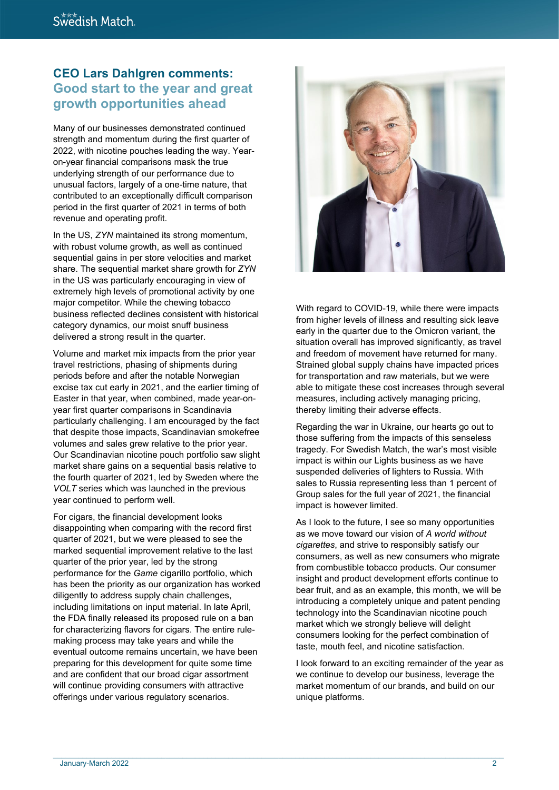# **CEO Lars Dahlgren comments: Good start to the year and great growth opportunities ahead**

Many of our businesses demonstrated continued strength and momentum during the first quarter of 2022, with nicotine pouches leading the way. Yearon-year financial comparisons mask the true underlying strength of our performance due to unusual factors, largely of a one-time nature, that contributed to an exceptionally difficult comparison period in the first quarter of 2021 in terms of both revenue and operating profit.

In the US, *ZYN* maintained its strong momentum, with robust volume growth, as well as continued sequential gains in per store velocities and market share. The sequential market share growth for *ZYN* in the US was particularly encouraging in view of extremely high levels of promotional activity by one major competitor. While the chewing tobacco business reflected declines consistent with historical category dynamics, our moist snuff business delivered a strong result in the quarter.

Volume and market mix impacts from the prior year travel restrictions, phasing of shipments during periods before and after the notable Norwegian excise tax cut early in 2021, and the earlier timing of Easter in that year, when combined, made year-onyear first quarter comparisons in Scandinavia particularly challenging. I am encouraged by the fact that despite those impacts, Scandinavian smokefree volumes and sales grew relative to the prior year. Our Scandinavian nicotine pouch portfolio saw slight market share gains on a sequential basis relative to the fourth quarter of 2021, led by Sweden where the *VOLT* series which was launched in the previous year continued to perform well.

For cigars, the financial development looks disappointing when comparing with the record first quarter of 2021, but we were pleased to see the marked sequential improvement relative to the last quarter of the prior year, led by the strong performance for the *Game* cigarillo portfolio, which has been the priority as our organization has worked diligently to address supply chain challenges, including limitations on input material. In late April, the FDA finally released its proposed rule on a ban for characterizing flavors for cigars. The entire rulemaking process may take years and while the eventual outcome remains uncertain, we have been preparing for this development for quite some time and are confident that our broad cigar assortment will continue providing consumers with attractive offerings under various regulatory scenarios.



With regard to COVID-19, while there were impacts from higher levels of illness and resulting sick leave early in the quarter due to the Omicron variant, the situation overall has improved significantly, as travel and freedom of movement have returned for many. Strained global supply chains have impacted prices for transportation and raw materials, but we were able to mitigate these cost increases through several measures, including actively managing pricing, thereby limiting their adverse effects.

Regarding the war in Ukraine, our hearts go out to those suffering from the impacts of this senseless tragedy. For Swedish Match, the war's most visible impact is within our Lights business as we have suspended deliveries of lighters to Russia. With sales to Russia representing less than 1 percent of Group sales for the full year of 2021, the financial impact is however limited.

As I look to the future, I see so many opportunities as we move toward our vision of *A world without cigarettes*, and strive to responsibly satisfy our consumers, as well as new consumers who migrate from combustible tobacco products. Our consumer insight and product development efforts continue to bear fruit, and as an example, this month, we will be introducing a completely unique and patent pending technology into the Scandinavian nicotine pouch market which we strongly believe will delight consumers looking for the perfect combination of taste, mouth feel, and nicotine satisfaction.

I look forward to an exciting remainder of the year as we continue to develop our business, leverage the market momentum of our brands, and build on our unique platforms.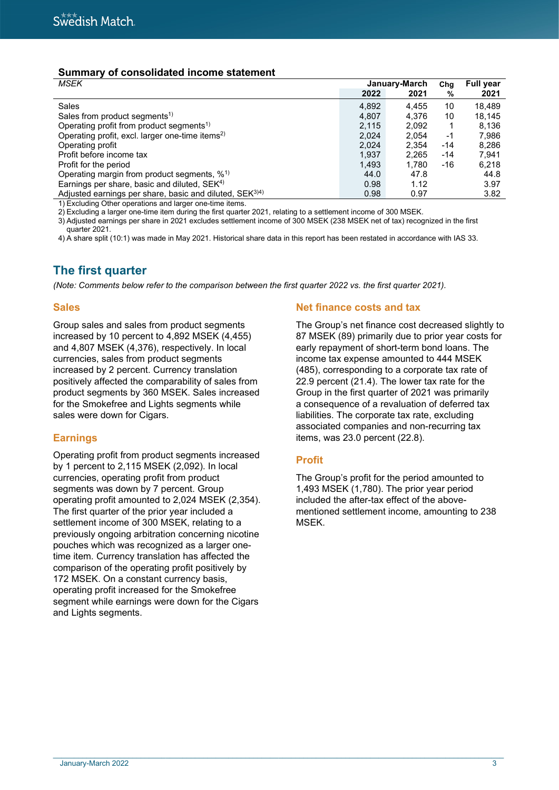# **Summary of consolidated income statement**

| January-March |       |     | <b>Full year</b> |
|---------------|-------|-----|------------------|
| 2022          | 2021  | %   | 2021             |
| 4,892         | 4,455 | 10  | 18,489           |
| 4.807         | 4.376 | 10  | 18.145           |
| 2.115         | 2.092 |     | 8.136            |
| 2,024         | 2.054 | -1  | 7,986            |
| 2.024         | 2.354 | -14 | 8.286            |
| 1,937         | 2,265 | -14 | 7.941            |
| 1,493         | 1,780 | -16 | 6,218            |
| 44.0          | 47.8  |     | 44.8             |
| 0.98          | 1.12  |     | 3.97             |
| 0.98          | 0.97  |     | 3.82             |
|               |       |     | Chg              |

1) Excluding Other operations and larger one-time items.

2) Excluding a larger one-time item during the first quarter 2021, relating to a settlement income of 300 MSEK.

3) Adjusted earnings per share in 2021 excludes settlement income of 300 MSEK (238 MSEK net of tax) recognized in the first quarter 2021.

4) A share split (10:1) was made in May 2021. Historical share data in this report has been restated in accordance with IAS 33.

# **The first quarter**

*(Note: Comments below refer to the comparison between the first quarter 2022 vs. the first quarter 2021).*

### **Sales**

Group sales and sales from product segments increased by 10 percent to 4,892 MSEK (4,455) and 4,807 MSEK (4,376), respectively. In local currencies, sales from product segments increased by 2 percent. Currency translation positively affected the comparability of sales from product segments by 360 MSEK. Sales increased for the Smokefree and Lights segments while sales were down for Cigars.

# **Earnings**

Operating profit from product segments increased by 1 percent to 2,115 MSEK (2,092). In local currencies, operating profit from product segments was down by 7 percent. Group operating profit amounted to 2,024 MSEK (2,354). The first quarter of the prior year included a settlement income of 300 MSEK, relating to a previously ongoing arbitration concerning nicotine pouches which was recognized as a larger onetime item. Currency translation has affected the comparison of the operating profit positively by 172 MSEK. On a constant currency basis, operating profit increased for the Smokefree segment while earnings were down for the Cigars and Lights segments.

# **Net finance costs and tax**

The Group's net finance cost decreased slightly to 87 MSEK (89) primarily due to prior year costs for early repayment of short-term bond loans. The income tax expense amounted to 444 MSEK (485), corresponding to a corporate tax rate of 22.9 percent (21.4). The lower tax rate for the Group in the first quarter of 2021 was primarily a consequence of a revaluation of deferred tax liabilities. The corporate tax rate, excluding associated companies and non-recurring tax items, was 23.0 percent (22.8).

# **Profit**

The Group's profit for the period amounted to 1,493 MSEK (1,780). The prior year period included the after-tax effect of the abovementioned settlement income, amounting to 238 MSEK.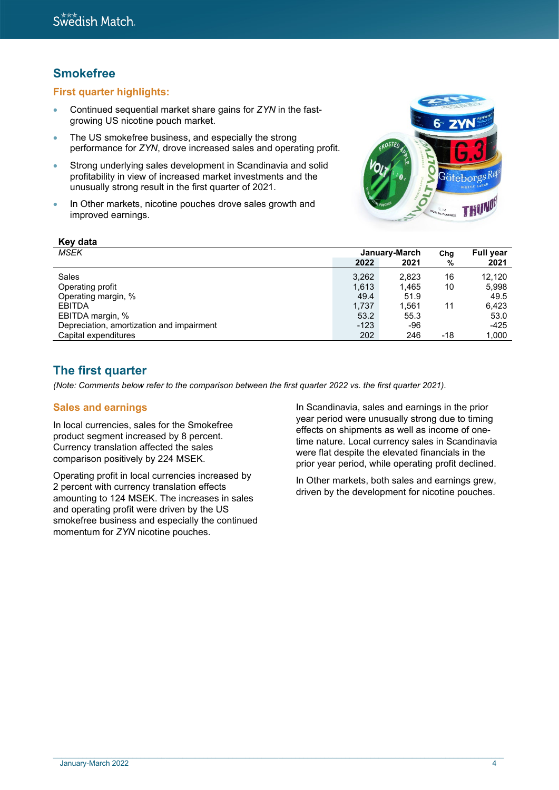# **Smokefree**

**Key data**

# **First quarter highlights:**

- Continued sequential market share gains for *ZYN* in the fastgrowing US nicotine pouch market.
- The US smokefree business, and especially the strong performance for *ZYN*, drove increased sales and operating profit.
- Strong underlying sales development in Scandinavia and solid profitability in view of increased market investments and the unusually strong result in the first quarter of 2021.
- In Other markets, nicotine pouches drove sales growth and improved earnings.



| <b>MSEK</b><br>January-March<br>Cha                        | <b>Full year</b> |
|------------------------------------------------------------|------------------|
| 2022<br>2021                                               | 2021<br>%        |
| 3,262<br>16<br>Sales<br>2,823                              | 12.120           |
| 1,613<br>1.465<br>10<br>Operating profit                   | 5.998            |
| Operating margin, %<br>49.4<br>51.9                        | 49.5             |
| 1.737<br>1.561<br><b>EBITDA</b><br>11                      | 6.423            |
| EBITDA margin, %<br>53.2<br>55.3                           | 53.0             |
| Depreciation, amortization and impairment<br>$-123$<br>-96 | $-425$           |
| 202<br>246<br>Capital expenditures<br>-18                  | 1,000            |

# **The first quarter**

*(Note: Comments below refer to the comparison between the first quarter 2022 vs. the first quarter 2021).*

### **Sales and earnings**

In local currencies, sales for the Smokefree product segment increased by 8 percent. Currency translation affected the sales comparison positively by 224 MSEK.

Operating profit in local currencies increased by 2 percent with currency translation effects amounting to 124 MSEK. The increases in sales and operating profit were driven by the US smokefree business and especially the continued momentum for *ZYN* nicotine pouches.

In Scandinavia, sales and earnings in the prior year period were unusually strong due to timing effects on shipments as well as income of onetime nature. Local currency sales in Scandinavia were flat despite the elevated financials in the prior year period, while operating profit declined.

In Other markets, both sales and earnings grew, driven by the development for nicotine pouches.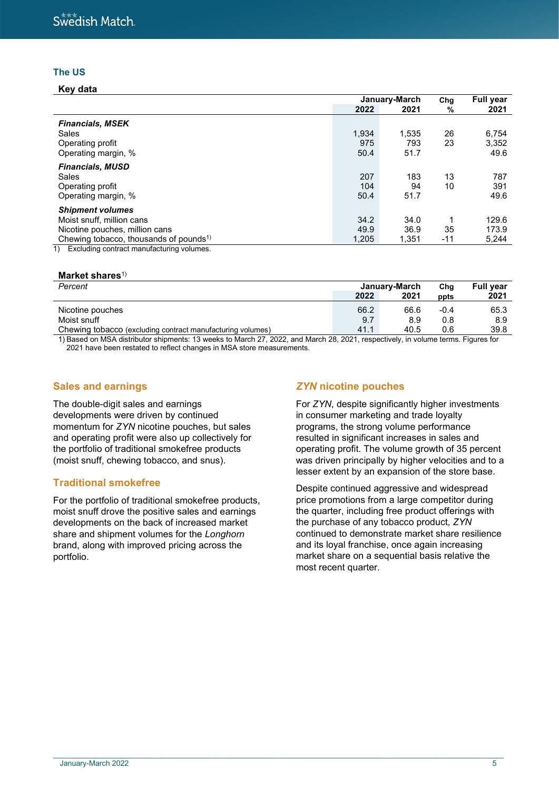# **The US**

**Key data**

|                                                    | January-March |       | Chg   | <b>Full year</b> |
|----------------------------------------------------|---------------|-------|-------|------------------|
|                                                    | 2022          | 2021  | %     | 2021             |
| <b>Financials, MSEK</b>                            |               |       |       |                  |
| Sales                                              | 1,934         | 1,535 | 26    | 6,754            |
| Operating profit                                   | 975           | 793   | 23    | 3,352            |
| Operating margin, %                                | 50.4          | 51.7  |       | 49.6             |
| <b>Financials, MUSD</b>                            |               |       |       |                  |
| Sales                                              | 207           | 183   | 13    | 787              |
| Operating profit                                   | 104           | 94    | 10    | 391              |
| Operating margin, %                                | 50.4          | 51.7  |       | 49.6             |
| <b>Shipment volumes</b>                            |               |       |       |                  |
| Moist snuff, million cans                          | 34.2          | 34.0  |       | 129.6            |
| Nicotine pouches, million cans                     | 49.9          | 36.9  | 35    | 173.9            |
| Chewing tobacco, thousands of pounds <sup>1)</sup> | 1,205         | 1,351 | $-11$ | 5,244            |

1) Excluding contract manufacturing volumes.

#### **Market shares**1)

| Percent                                                    | January-March |      | Cha    | <b>Full vear</b> |
|------------------------------------------------------------|---------------|------|--------|------------------|
|                                                            | 2022          | 2021 | ppts   | 2021             |
| Nicotine pouches                                           | 66.2          | 66.6 | $-0.4$ | 65.3             |
| Moist snuff                                                | 9.7           | 8.9  | 0.8    | 8.9              |
| Chewing tobacco (excluding contract manufacturing volumes) | 41.1          | 40.5 | 0.6    | 39.8             |

1) Based on MSA distributor shipments: 13 weeks to March 27, 2022, and March 28, 2021, respectively, in volume terms. Figures for 2021 have been restated to reflect changes in MSA store measurements.

 $\_$  , and the state of the state of the state of the state of the state of the state of the state of the state of the state of the state of the state of the state of the state of the state of the state of the state of the

### **Sales and earnings**

The double-digit sales and earnings developments were driven by continued momentum for *ZYN* nicotine pouches, but sales and operating profit were also up collectively for the portfolio of traditional smokefree products (moist snuff, chewing tobacco, and snus).

### **Traditional smokefree**

For the portfolio of traditional smokefree products, moist snuff drove the positive sales and earnings developments on the back of increased market share and shipment volumes for the *Longhorn* brand, along with improved pricing across the portfolio.

### *ZYN* **nicotine pouches**

For *ZYN*, despite significantly higher investments in consumer marketing and trade loyalty programs, the strong volume performance resulted in significant increases in sales and operating profit. The volume growth of 35 percent was driven principally by higher velocities and to a lesser extent by an expansion of the store base.

Despite continued aggressive and widespread price promotions from a large competitor during the quarter, including free product offerings with the purchase of any tobacco product, *ZYN* continued to demonstrate market share resilience and its loyal franchise, once again increasing market share on a sequential basis relative the most recent quarter.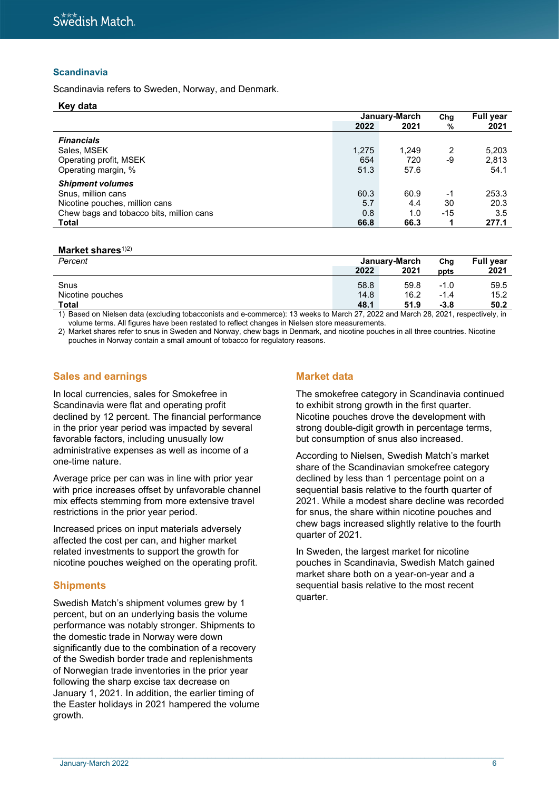### **Scandinavia**

Scandinavia refers to Sweden, Norway, and Denmark.

#### **Key data**

|                                          | January-March |       | Chg   | <b>Full year</b> |
|------------------------------------------|---------------|-------|-------|------------------|
|                                          | 2022          | 2021  | %     | 2021             |
| <b>Financials</b>                        |               |       |       |                  |
| Sales, MSEK                              | 1,275         | 1,249 | 2     | 5,203            |
| Operating profit, MSEK                   | 654           | 720   | -9    | 2,813            |
| Operating margin, %                      | 51.3          | 57.6  |       | 54.1             |
| <b>Shipment volumes</b>                  |               |       |       |                  |
| Snus, million cans                       | 60.3          | 60.9  | $-1$  | 253.3            |
| Nicotine pouches, million cans           | 5.7           | 4.4   | 30    | 20.3             |
| Chew bags and tobacco bits, million cans | 0.8           | 1.0   | $-15$ | 3.5              |
| <b>Total</b>                             | 66.8          | 66.3  |       | 277.1            |

#### **Market shares**<sup>1)2)</sup>

| Percent          | January-March |      |        |      | Cha | <b>Full year</b> |
|------------------|---------------|------|--------|------|-----|------------------|
|                  | 2022          | 2021 | ppts   | 2021 |     |                  |
| Snus             | 58.8          | 59.8 | $-1.0$ | 59.5 |     |                  |
| Nicotine pouches | 14.8          | 16.2 | $-1.4$ | 15.2 |     |                  |
| <b>Total</b>     | 48.1          | 51.9 | $-3.8$ | 50.2 |     |                  |

1) Based on Nielsen data (excluding tobacconists and e-commerce): 13 weeks to March 27, 2022 and March 28, 2021, respectively, in volume terms. All figures have been restated to reflect changes in Nielsen store measurements.

2) Market shares refer to snus in Sweden and Norway, chew bags in Denmark, and nicotine pouches in all three countries. Nicotine pouches in Norway contain a small amount of tobacco for regulatory reasons.

### **Sales and earnings**

In local currencies, sales for Smokefree in Scandinavia were flat and operating profit declined by 12 percent. The financial performance in the prior year period was impacted by several favorable factors, including unusually low administrative expenses as well as income of a one-time nature.

Average price per can was in line with prior year with price increases offset by unfavorable channel mix effects stemming from more extensive travel restrictions in the prior year period.

Increased prices on input materials adversely affected the cost per can, and higher market related investments to support the growth for nicotine pouches weighed on the operating profit.

#### **Shipments**

Swedish Match's shipment volumes grew by 1 percent, but on an underlying basis the volume performance was notably stronger. Shipments to the domestic trade in Norway were down significantly due to the combination of a recovery of the Swedish border trade and replenishments of Norwegian trade inventories in the prior year following the sharp excise tax decrease on January 1, 2021. In addition, the earlier timing of the Easter holidays in 2021 hampered the volume growth.

### **Market data**

The smokefree category in Scandinavia continued to exhibit strong growth in the first quarter. Nicotine pouches drove the development with strong double-digit growth in percentage terms, but consumption of snus also increased.

According to Nielsen, Swedish Match's market share of the Scandinavian smokefree category declined by less than 1 percentage point on a sequential basis relative to the fourth quarter of 2021. While a modest share decline was recorded for snus, the share within nicotine pouches and chew bags increased slightly relative to the fourth quarter of 2021.

In Sweden, the largest market for nicotine pouches in Scandinavia, Swedish Match gained market share both on a year-on-year and a sequential basis relative to the most recent quarter.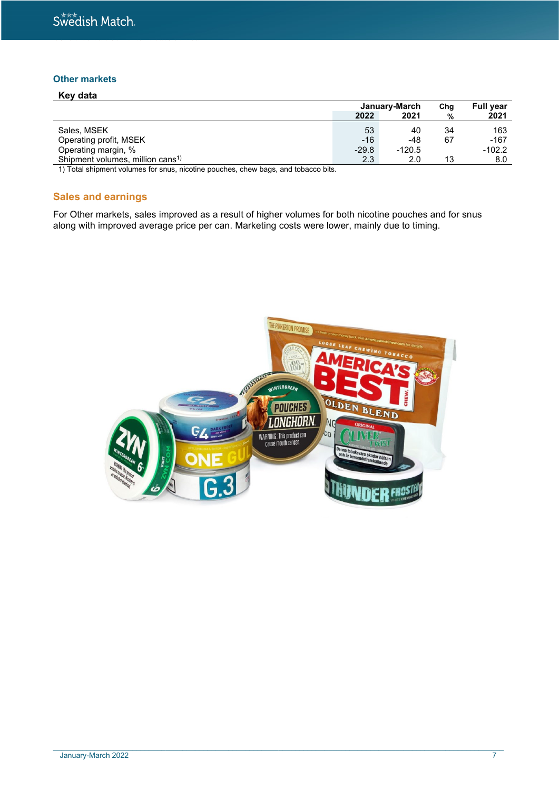### **Other markets**

| Key data                                     |         |               |      |                  |
|----------------------------------------------|---------|---------------|------|------------------|
|                                              |         | January-March | Chg  | <b>Full year</b> |
|                                              | 2022    | 2021          | $\%$ | 2021             |
| Sales, MSEK                                  | 53      | 40            | 34   | 163              |
| Operating profit, MSEK                       | $-16$   | -48           | 67   | $-167$           |
| Operating margin, %                          | $-29.8$ | $-120.5$      |      | $-102.2$         |
| Shipment volumes, million cans <sup>1)</sup> | 2.3     | 2.0           | 13   | 8.0              |

1) Total shipment volumes for snus, nicotine pouches, chew bags, and tobacco bits.

# **Sales and earnings**

For Other markets, sales improved as a result of higher volumes for both nicotine pouches and for snus along with improved average price per can. Marketing costs were lower, mainly due to timing.



\_\_\_\_\_\_\_\_\_\_\_\_\_\_\_\_\_\_\_\_\_\_\_\_\_\_\_\_\_\_\_\_\_\_\_\_\_\_\_\_\_\_\_\_\_\_\_\_\_\_\_\_\_\_\_\_\_\_\_\_\_\_\_\_\_\_\_\_\_\_\_\_\_\_\_\_\_\_\_\_\_\_\_\_\_\_\_\_\_\_\_\_\_\_\_\_\_\_\_\_\_\_\_\_\_\_\_\_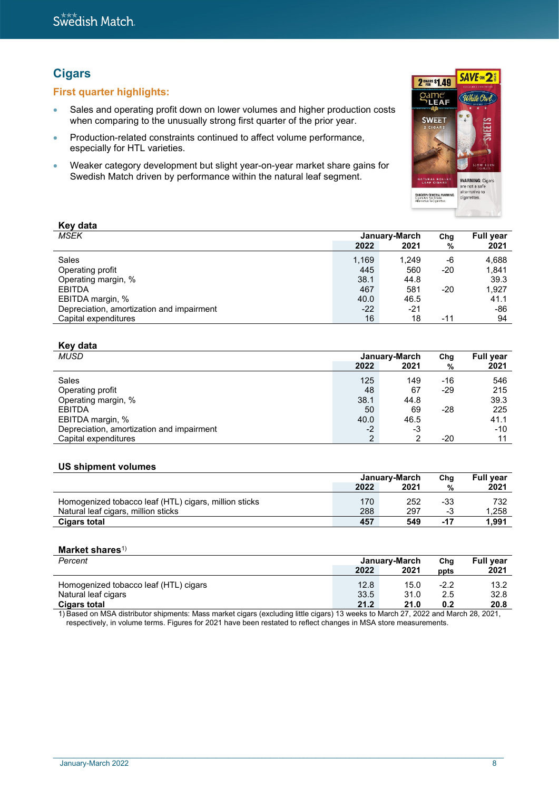# **Cigars**

# **First quarter highlights:**

- Sales and operating profit down on lower volumes and higher production costs when comparing to the unusually strong first quarter of the prior year.
- Production-related constraints continued to affect volume performance, especially for HTL varieties.
- Weaker category development but slight year-on-year market share gains for Swedish Match driven by performance within the natural leaf segment.



| <b>Ney uald</b>                           |       |               |     |                  |
|-------------------------------------------|-------|---------------|-----|------------------|
| MSEK                                      |       | January-March | Chg | <b>Full year</b> |
|                                           | 2022  | 2021          | %   | 2021             |
| Sales                                     | 1,169 | 1.249         | -6  | 4,688            |
| Operating profit                          | 445   | 560           | -20 | 1,841            |
| Operating margin, %                       | 38.1  | 44.8          |     | 39.3             |
| <b>EBITDA</b>                             | 467   | 581           | -20 | 1,927            |
| EBITDA margin, %                          | 40.0  | 46.5          |     | 41.1             |
| Depreciation, amortization and impairment | $-22$ | -21           |     | -86              |
| Capital expenditures                      | 16    | 18            | -11 | 94               |

# **Key data**

**Key data**

| <b>MUSD</b>                               |                | January-March | Chg   | <b>Full year</b> |
|-------------------------------------------|----------------|---------------|-------|------------------|
|                                           | 2022           | 2021          | %     | 2021             |
| Sales                                     | 125            | 149           | -16   | 546              |
| Operating profit                          | 48             | 67            | -29   | 215              |
| Operating margin, %                       | 38.1           | 44.8          |       | 39.3             |
| <b>EBITDA</b>                             | 50             | 69            | $-28$ | 225              |
| EBITDA margin, %                          | 40.0           | 46.5          |       | 41.1             |
| Depreciation, amortization and impairment | $-2$           | -3            |       | -10              |
| Capital expenditures                      | $\overline{2}$ |               | -20   | 11               |

#### **US shipment volumes**

|                                                                                              | January-March |            | Cha          | <b>Full vear</b> |
|----------------------------------------------------------------------------------------------|---------------|------------|--------------|------------------|
|                                                                                              | 2022          | 2021       | %            | 2021             |
| Homogenized tobacco leaf (HTL) cigars, million sticks<br>Natural leaf cigars, million sticks | 170<br>288    | 252<br>297 | -33          | 732<br>1.258     |
| <b>Cigars total</b>                                                                          | 457           | 549        | - 3<br>$-17$ | 1.991            |

#### **Market shares**1)

| Percent                                                                                                                           | January-March |      | Cha    | <b>Full year</b> |
|-----------------------------------------------------------------------------------------------------------------------------------|---------------|------|--------|------------------|
|                                                                                                                                   | 2022          | 2021 | ppts   | 2021             |
| Homogenized tobacco leaf (HTL) cigars                                                                                             | 12.8          | 15.0 | $-2.2$ | 13.2             |
| Natural leaf cigars                                                                                                               | 33.5          | 31.0 | 2.5    | 32.8             |
| <b>Cigars total</b>                                                                                                               | 21.2          | 21.0 | 0.2    | 20.8             |
| 1) Decod on MCA distributor objements: Mess market gigare (evoluding little gigare) 12 weeks to March 27, 2022 and March 28, 2021 |               |      |        |                  |

1) Based on MSA distributor shipments: Mass market cigars (excluding little cigars) 13 weeks to March 27, 2022 and March 28, 2021, respectively, in volume terms. Figures for 2021 have been restated to reflect changes in MSA store measurements.

 $\_$  , and the state of the state of the state of the state of the state of the state of the state of the state of the state of the state of the state of the state of the state of the state of the state of the state of the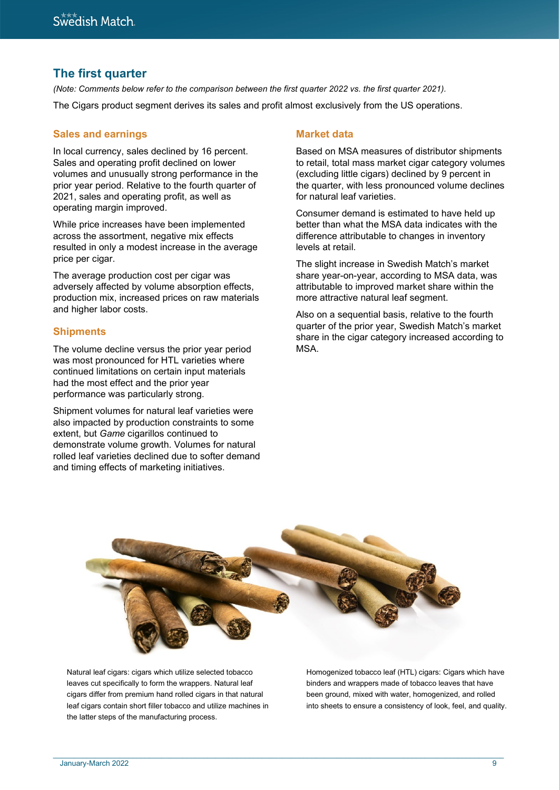# **The first quarter**

*(Note: Comments below refer to the comparison between the first quarter 2022 vs. the first quarter 2021).* The Cigars product segment derives its sales and profit almost exclusively from the US operations.

### **Sales and earnings**

In local currency, sales declined by 16 percent. Sales and operating profit declined on lower volumes and unusually strong performance in the prior year period. Relative to the fourth quarter of 2021, sales and operating profit, as well as operating margin improved.

While price increases have been implemented across the assortment, negative mix effects resulted in only a modest increase in the average price per cigar.

The average production cost per cigar was adversely affected by volume absorption effects, production mix, increased prices on raw materials and higher labor costs.

### **Shipments**

The volume decline versus the prior year period was most pronounced for HTL varieties where continued limitations on certain input materials had the most effect and the prior year performance was particularly strong.

Shipment volumes for natural leaf varieties were also impacted by production constraints to some extent, but *Game* cigarillos continued to demonstrate volume growth. Volumes for natural rolled leaf varieties declined due to softer demand and timing effects of marketing initiatives.

# **Market data**

Based on MSA measures of distributor shipments to retail, total mass market cigar category volumes (excluding little cigars) declined by 9 percent in the quarter, with less pronounced volume declines for natural leaf varieties.

Consumer demand is estimated to have held up better than what the MSA data indicates with the difference attributable to changes in inventory levels at retail.

The slight increase in Swedish Match's market share year-on-year, according to MSA data, was attributable to improved market share within the more attractive natural leaf segment.

Also on a sequential basis, relative to the fourth quarter of the prior year, Swedish Match's market share in the cigar category increased according to MSA.



 $\_$  , and the state of the state of the state of the state of the state of the state of the state of the state of the state of the state of the state of the state of the state of the state of the state of the state of the

Natural leaf cigars: cigars which utilize selected tobacco leaves cut specifically to form the wrappers. Natural leaf cigars differ from premium hand rolled cigars in that natural leaf cigars contain short filler tobacco and utilize machines in the latter steps of the manufacturing process.

Homogenized tobacco leaf (HTL) cigars: Cigars which have binders and wrappers made of tobacco leaves that have been ground, mixed with water, homogenized, and rolled into sheets to ensure a consistency of look, feel, and quality.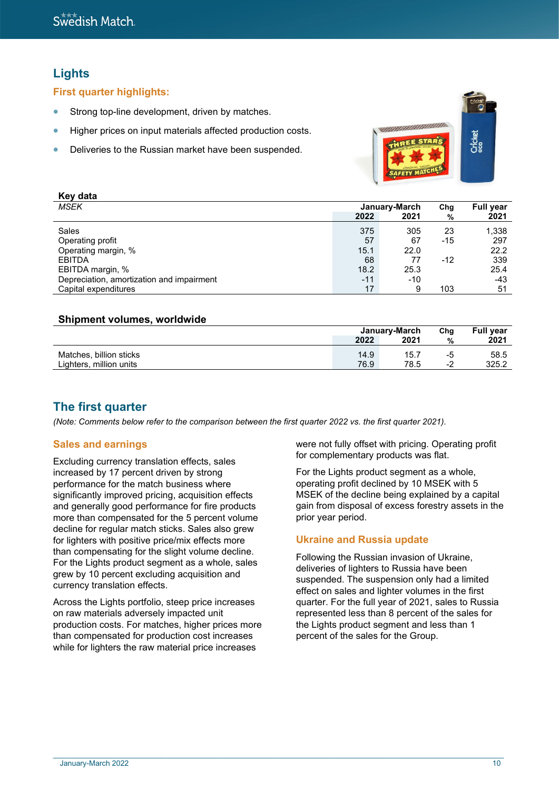# **Lights**

**Key data**

**First quarter highlights:**

- Strong top-line development, driven by matches.
- Higher prices on input materials affected production costs.
- Deliveries to the Russian market have been suspended.



| <b>Rey data</b>                           |       |               |       |                  |
|-------------------------------------------|-------|---------------|-------|------------------|
| MSEK                                      |       | January-March | Chg   | <b>Full year</b> |
|                                           | 2022  | 2021          | %     | 2021             |
| Sales                                     | 375   | 305           | 23    | 1,338            |
| Operating profit                          | 57    | 67            | -15   | 297              |
| Operating margin, %                       | 15.1  | 22.0          |       | 22.2             |
| <b>EBITDA</b>                             | 68    | 77            | $-12$ | 339              |
| EBITDA margin, %                          | 18.2  | 25.3          |       | 25.4             |
| Depreciation, amortization and impairment | $-11$ | $-10$         |       | -43              |
| Capital expenditures                      | 17    | 9             | 103   | 51               |

# **Shipment volumes, worldwide**

|                                                    | January-March |              | Cha      | <b>Full year</b> |
|----------------------------------------------------|---------------|--------------|----------|------------------|
|                                                    | 2022          | 2021         | %        | 2021             |
| Matches, billion sticks<br>Lighters, million units | 14.9<br>76.9  | 15.7<br>78.5 | -5<br>-2 | 58.5<br>325.2    |

# **The first quarter**

*(Note: Comments below refer to the comparison between the first quarter 2022 vs. the first quarter 2021).*

# **Sales and earnings**

Excluding currency translation effects, sales increased by 17 percent driven by strong performance for the match business where significantly improved pricing, acquisition effects and generally good performance for fire products more than compensated for the 5 percent volume decline for regular match sticks. Sales also grew for lighters with positive price/mix effects more than compensating for the slight volume decline. For the Lights product segment as a whole, sales grew by 10 percent excluding acquisition and currency translation effects.

Across the Lights portfolio, steep price increases on raw materials adversely impacted unit production costs. For matches, higher prices more than compensated for production cost increases while for lighters the raw material price increases

were not fully offset with pricing. Operating profit for complementary products was flat.

For the Lights product segment as a whole, operating profit declined by 10 MSEK with 5 MSEK of the decline being explained by a capital gain from disposal of excess forestry assets in the prior year period.

# **Ukraine and Russia update**

Following the Russian invasion of Ukraine, deliveries of lighters to Russia have been suspended. The suspension only had a limited effect on sales and lighter volumes in the first quarter. For the full year of 2021, sales to Russia represented less than 8 percent of the sales for the Lights product segment and less than 1 percent of the sales for the Group.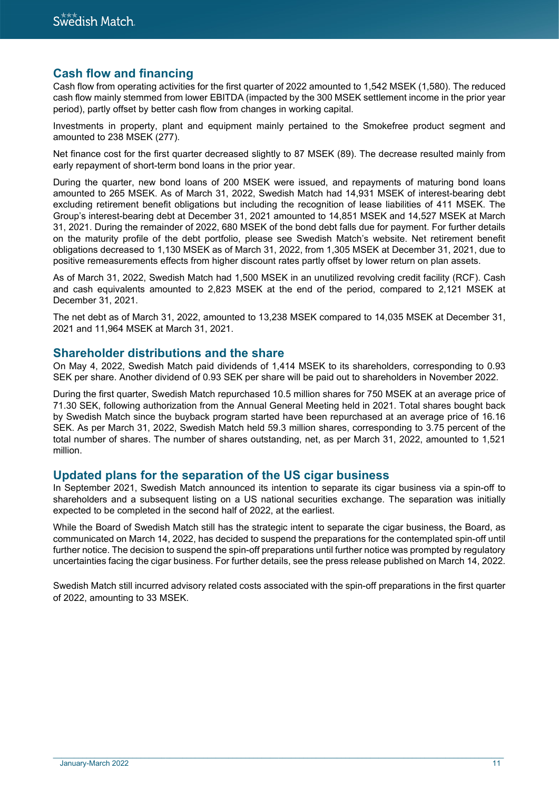# **Cash flow and financing**

Cash flow from operating activities for the first quarter of 2022 amounted to 1,542 MSEK (1,580). The reduced cash flow mainly stemmed from lower EBITDA (impacted by the 300 MSEK settlement income in the prior year period), partly offset by better cash flow from changes in working capital.

Investments in property, plant and equipment mainly pertained to the Smokefree product segment and amounted to 238 MSEK (277).

Net finance cost for the first quarter decreased slightly to 87 MSEK (89). The decrease resulted mainly from early repayment of short-term bond loans in the prior year.

During the quarter, new bond loans of 200 MSEK were issued, and repayments of maturing bond loans amounted to 265 MSEK. As of March 31, 2022, Swedish Match had 14,931 MSEK of interest-bearing debt excluding retirement benefit obligations but including the recognition of lease liabilities of 411 MSEK. The Group's interest-bearing debt at December 31, 2021 amounted to 14,851 MSEK and 14,527 MSEK at March 31, 2021. During the remainder of 2022, 680 MSEK of the bond debt falls due for payment. For further details on the maturity profile of the debt portfolio, please see Swedish Match's website. Net retirement benefit obligations decreased to 1,130 MSEK as of March 31, 2022, from 1,305 MSEK at December 31, 2021, due to positive remeasurements effects from higher discount rates partly offset by lower return on plan assets.

As of March 31, 2022, Swedish Match had 1,500 MSEK in an unutilized revolving credit facility (RCF). Cash and cash equivalents amounted to 2,823 MSEK at the end of the period, compared to 2,121 MSEK at December 31, 2021.

The net debt as of March 31, 2022, amounted to 13,238 MSEK compared to 14,035 MSEK at December 31, 2021 and 11,964 MSEK at March 31, 2021.

# **Shareholder distributions and the share**

On May 4, 2022, Swedish Match paid dividends of 1,414 MSEK to its shareholders, corresponding to 0.93 SEK per share. Another dividend of 0.93 SEK per share will be paid out to shareholders in November 2022.

During the first quarter, Swedish Match repurchased 10.5 million shares for 750 MSEK at an average price of 71.30 SEK, following authorization from the Annual General Meeting held in 2021. Total shares bought back by Swedish Match since the buyback program started have been repurchased at an average price of 16.16 SEK. As per March 31, 2022, Swedish Match held 59.3 million shares, corresponding to 3.75 percent of the total number of shares. The number of shares outstanding, net, as per March 31, 2022, amounted to 1,521 million.

# **Updated plans for the separation of the US cigar business**

In September 2021, Swedish Match announced its intention to separate its cigar business via a spin-off to shareholders and a subsequent listing on a US national securities exchange. The separation was initially expected to be completed in the second half of 2022, at the earliest.

While the Board of Swedish Match still has the strategic intent to separate the cigar business, the Board, as communicated on March 14, 2022, has decided to suspend the preparations for the contemplated spin-off until further notice. The decision to suspend the spin-off preparations until further notice was prompted by regulatory uncertainties facing the cigar business. For further details, see the press release published on March 14, 2022.

Swedish Match still incurred advisory related costs associated with the spin-off preparations in the first quarter of 2022, amounting to 33 MSEK.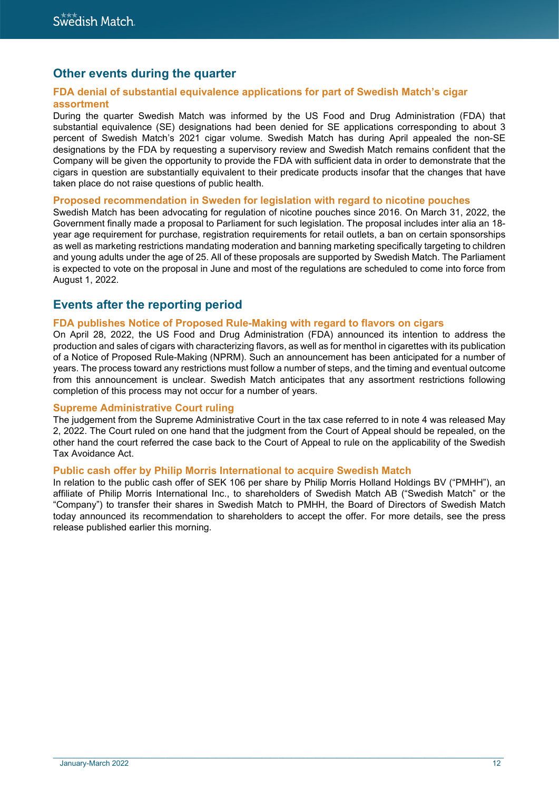# **Other events during the quarter**

### **FDA denial of substantial equivalence applications for part of Swedish Match's cigar assortment**

During the quarter Swedish Match was informed by the US Food and Drug Administration (FDA) that substantial equivalence (SE) designations had been denied for SE applications corresponding to about 3 percent of Swedish Match's 2021 cigar volume. Swedish Match has during April appealed the non-SE designations by the FDA by requesting a supervisory review and Swedish Match remains confident that the Company will be given the opportunity to provide the FDA with sufficient data in order to demonstrate that the cigars in question are substantially equivalent to their predicate products insofar that the changes that have taken place do not raise questions of public health.

#### **Proposed recommendation in Sweden for legislation with regard to nicotine pouches**

Swedish Match has been advocating for regulation of nicotine pouches since 2016. On March 31, 2022, the Government finally made a proposal to Parliament for such legislation. The proposal includes inter alia an 18 year age requirement for purchase, registration requirements for retail outlets, a ban on certain sponsorships as well as marketing restrictions mandating moderation and banning marketing specifically targeting to children and young adults under the age of 25. All of these proposals are supported by Swedish Match. The Parliament is expected to vote on the proposal in June and most of the regulations are scheduled to come into force from August 1, 2022.

# **Events after the reporting period**

### **FDA publishes Notice of Proposed Rule-Making with regard to flavors on cigars**

On April 28, 2022, the US Food and Drug Administration (FDA) announced its intention to address the production and sales of cigars with characterizing flavors, as well as for menthol in cigarettes with its publication of a Notice of Proposed Rule-Making (NPRM). Such an announcement has been anticipated for a number of years. The process toward any restrictions must follow a number of steps, and the timing and eventual outcome from this announcement is unclear. Swedish Match anticipates that any assortment restrictions following completion of this process may not occur for a number of years.

### **Supreme Administrative Court ruling**

The judgement from the Supreme Administrative Court in the tax case referred to in note 4 was released May 2, 2022. The Court ruled on one hand that the judgment from the Court of Appeal should be repealed, on the other hand the court referred the case back to the Court of Appeal to rule on the applicability of the Swedish Tax Avoidance Act.

### **Public cash offer by Philip Morris International to acquire Swedish Match**

In relation to the public cash offer of SEK 106 per share by Philip Morris Holland Holdings BV ("PMHH"), an affiliate of Philip Morris International Inc., to shareholders of Swedish Match AB ("Swedish Match" or the "Company") to transfer their shares in Swedish Match to PMHH, the Board of Directors of Swedish Match today announced its recommendation to shareholders to accept the offer. For more details, see the press release published earlier this morning.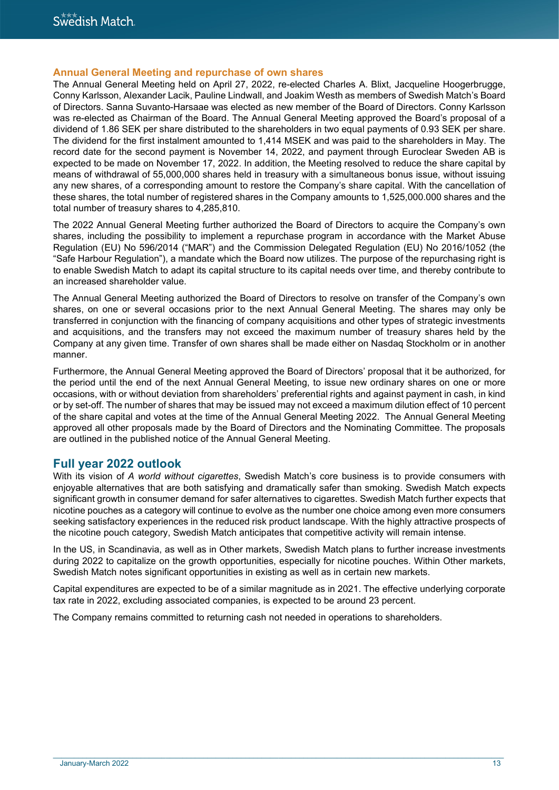#### **Annual General Meeting and repurchase of own shares**

The Annual General Meeting held on April 27, 2022, re-elected Charles A. Blixt, Jacqueline Hoogerbrugge, Conny Karlsson, Alexander Lacik, Pauline Lindwall, and Joakim Westh as members of Swedish Match's Board of Directors. Sanna Suvanto-Harsaae was elected as new member of the Board of Directors. Conny Karlsson was re-elected as Chairman of the Board. The Annual General Meeting approved the Board's proposal of a dividend of 1.86 SEK per share distributed to the shareholders in two equal payments of 0.93 SEK per share. The dividend for the first instalment amounted to 1,414 MSEK and was paid to the shareholders in May. The record date for the second payment is November 14, 2022, and payment through Euroclear Sweden AB is expected to be made on November 17, 2022. In addition, the Meeting resolved to reduce the share capital by means of withdrawal of 55,000,000 shares held in treasury with a simultaneous bonus issue, without issuing any new shares, of a corresponding amount to restore the Company's share capital. With the cancellation of these shares, the total number of registered shares in the Company amounts to 1,525,000.000 shares and the total number of treasury shares to 4,285,810.

The 2022 Annual General Meeting further authorized the Board of Directors to acquire the Company's own shares, including the possibility to implement a repurchase program in accordance with the Market Abuse Regulation (EU) No 596/2014 ("MAR") and the Commission Delegated Regulation (EU) No 2016/1052 (the "Safe Harbour Regulation"), a mandate which the Board now utilizes. The purpose of the repurchasing right is to enable Swedish Match to adapt its capital structure to its capital needs over time, and thereby contribute to an increased shareholder value.

The Annual General Meeting authorized the Board of Directors to resolve on transfer of the Company's own shares, on one or several occasions prior to the next Annual General Meeting. The shares may only be transferred in conjunction with the financing of company acquisitions and other types of strategic investments and acquisitions, and the transfers may not exceed the maximum number of treasury shares held by the Company at any given time. Transfer of own shares shall be made either on Nasdaq Stockholm or in another manner.

Furthermore, the Annual General Meeting approved the Board of Directors' proposal that it be authorized, for the period until the end of the next Annual General Meeting, to issue new ordinary shares on one or more occasions, with or without deviation from shareholders' preferential rights and against payment in cash, in kind or by set-off. The number of shares that may be issued may not exceed a maximum dilution effect of 10 percent of the share capital and votes at the time of the Annual General Meeting 2022. The Annual General Meeting approved all other proposals made by the Board of Directors and the Nominating Committee. The proposals are outlined in the published notice of the Annual General Meeting.

# **Full year 2022 outlook**

With its vision of *A world without cigarettes*, Swedish Match's core business is to provide consumers with enjoyable alternatives that are both satisfying and dramatically safer than smoking. Swedish Match expects significant growth in consumer demand for safer alternatives to cigarettes. Swedish Match further expects that nicotine pouches as a category will continue to evolve as the number one choice among even more consumers seeking satisfactory experiences in the reduced risk product landscape. With the highly attractive prospects of the nicotine pouch category, Swedish Match anticipates that competitive activity will remain intense.

In the US, in Scandinavia, as well as in Other markets, Swedish Match plans to further increase investments during 2022 to capitalize on the growth opportunities, especially for nicotine pouches. Within Other markets, Swedish Match notes significant opportunities in existing as well as in certain new markets.

Capital expenditures are expected to be of a similar magnitude as in 2021. The effective underlying corporate tax rate in 2022, excluding associated companies, is expected to be around 23 percent.

 $\_$  , and the state of the state of the state of the state of the state of the state of the state of the state of the state of the state of the state of the state of the state of the state of the state of the state of the

The Company remains committed to returning cash not needed in operations to shareholders.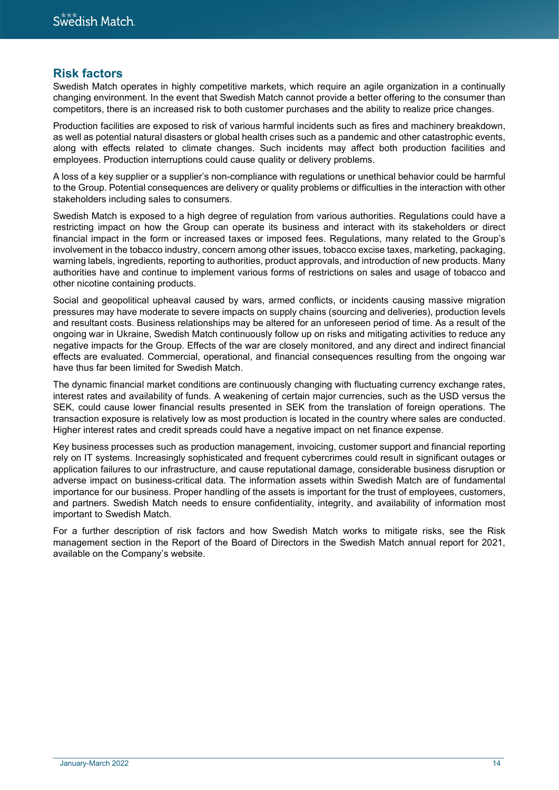# **Risk factors**

Swedish Match operates in highly competitive markets, which require an agile organization in a continually changing environment. In the event that Swedish Match cannot provide a better offering to the consumer than competitors, there is an increased risk to both customer purchases and the ability to realize price changes.

Production facilities are exposed to risk of various harmful incidents such as fires and machinery breakdown, as well as potential natural disasters or global health crises such as a pandemic and other catastrophic events, along with effects related to climate changes. Such incidents may affect both production facilities and employees. Production interruptions could cause quality or delivery problems.

A loss of a key supplier or a supplier's non-compliance with regulations or unethical behavior could be harmful to the Group. Potential consequences are delivery or quality problems or difficulties in the interaction with other stakeholders including sales to consumers.

Swedish Match is exposed to a high degree of regulation from various authorities. Regulations could have a restricting impact on how the Group can operate its business and interact with its stakeholders or direct financial impact in the form or increased taxes or imposed fees. Regulations, many related to the Group's involvement in the tobacco industry, concern among other issues, tobacco excise taxes, marketing, packaging, warning labels, ingredients, reporting to authorities, product approvals, and introduction of new products. Many authorities have and continue to implement various forms of restrictions on sales and usage of tobacco and other nicotine containing products.

Social and geopolitical upheaval caused by wars, armed conflicts, or incidents causing massive migration pressures may have moderate to severe impacts on supply chains (sourcing and deliveries), production levels and resultant costs. Business relationships may be altered for an unforeseen period of time. As a result of the ongoing war in Ukraine, Swedish Match continuously follow up on risks and mitigating activities to reduce any negative impacts for the Group. Effects of the war are closely monitored, and any direct and indirect financial effects are evaluated. Commercial, operational, and financial consequences resulting from the ongoing war have thus far been limited for Swedish Match.

The dynamic financial market conditions are continuously changing with fluctuating currency exchange rates, interest rates and availability of funds. A weakening of certain major currencies, such as the USD versus the SEK, could cause lower financial results presented in SEK from the translation of foreign operations. The transaction exposure is relatively low as most production is located in the country where sales are conducted. Higher interest rates and credit spreads could have a negative impact on net finance expense.

Key business processes such as production management, invoicing, customer support and financial reporting rely on IT systems. Increasingly sophisticated and frequent cybercrimes could result in significant outages or application failures to our infrastructure, and cause reputational damage, considerable business disruption or adverse impact on business-critical data. The information assets within Swedish Match are of fundamental importance for our business. Proper handling of the assets is important for the trust of employees, customers, and partners. Swedish Match needs to ensure confidentiality, integrity, and availability of information most important to Swedish Match.

For a further description of risk factors and how Swedish Match works to mitigate risks, see the Risk management section in the Report of the Board of Directors in the Swedish Match annual report for 2021, available on the Company's website.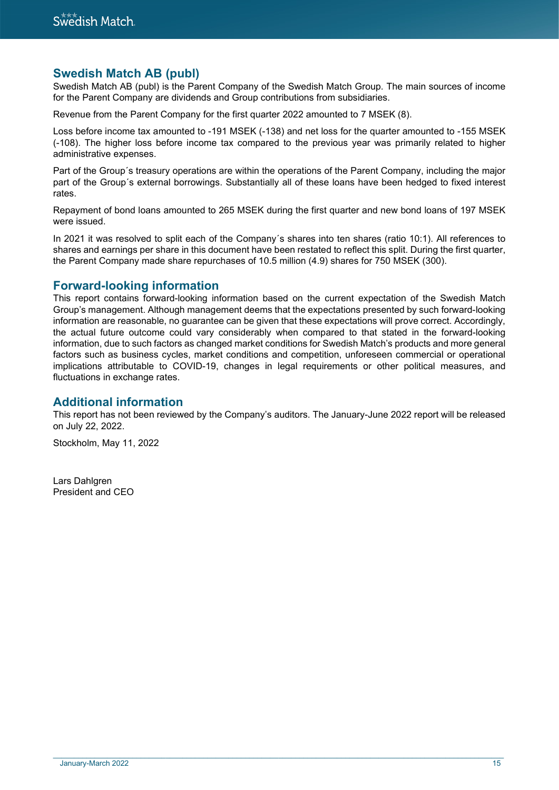# **Swedish Match AB (publ)**

Swedish Match AB (publ) is the Parent Company of the Swedish Match Group. The main sources of income for the Parent Company are dividends and Group contributions from subsidiaries.

Revenue from the Parent Company for the first quarter 2022 amounted to 7 MSEK (8).

Loss before income tax amounted to -191 MSEK (-138) and net loss for the quarter amounted to -155 MSEK (-108). The higher loss before income tax compared to the previous year was primarily related to higher administrative expenses.

Part of the Group´s treasury operations are within the operations of the Parent Company, including the major part of the Group´s external borrowings. Substantially all of these loans have been hedged to fixed interest rates.

Repayment of bond loans amounted to 265 MSEK during the first quarter and new bond loans of 197 MSEK were issued.

In 2021 it was resolved to split each of the Company´s shares into ten shares (ratio 10:1). All references to shares and earnings per share in this document have been restated to reflect this split. During the first quarter, the Parent Company made share repurchases of 10.5 million (4.9) shares for 750 MSEK (300).

# **Forward-looking information**

This report contains forward-looking information based on the current expectation of the Swedish Match Group's management. Although management deems that the expectations presented by such forward-looking information are reasonable, no guarantee can be given that these expectations will prove correct. Accordingly, the actual future outcome could vary considerably when compared to that stated in the forward-looking information, due to such factors as changed market conditions for Swedish Match's products and more general factors such as business cycles, market conditions and competition, unforeseen commercial or operational implications attributable to COVID-19, changes in legal requirements or other political measures, and fluctuations in exchange rates.

# **Additional information**

This report has not been reviewed by the Company's auditors. The January-June 2022 report will be released on July 22, 2022.

Stockholm, May 11, 2022

Lars Dahlgren President and CEO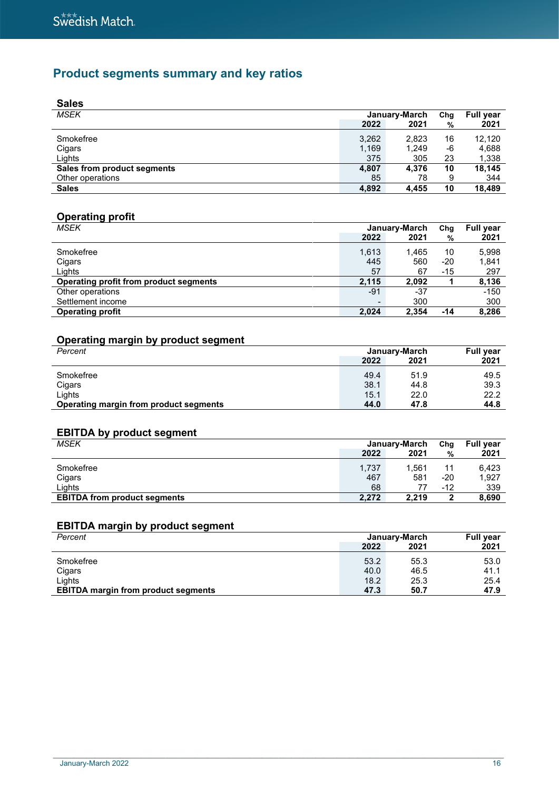# **Product segments summary and key ratios**

| <b>Sales</b>                |       |               |     |                  |
|-----------------------------|-------|---------------|-----|------------------|
| <b>MSEK</b>                 |       | January-March | Chg | <b>Full year</b> |
|                             | 2022  | 2021          | %   | 2021             |
| Smokefree                   | 3,262 | 2,823         | 16  | 12,120           |
| Cigars                      | 1,169 | 1,249         | -6  | 4,688            |
| Lights                      | 375   | 305           | 23  | 1,338            |
| Sales from product segments | 4,807 | 4.376         | 10  | 18.145           |
| Other operations            | 85    | 78            | 9   | 344              |
| <b>Sales</b>                | 4.892 | 4.455         | 10  | 18.489           |

# **Operating profit**

| MSEK                                   |       | January-March | Chg | <b>Full year</b> |
|----------------------------------------|-------|---------------|-----|------------------|
|                                        | 2022  | 2021          | %   | 2021             |
| Smokefree                              | 1,613 | 1.465         | 10  | 5,998            |
| Cigars                                 | 445   | 560           | -20 | 1,841            |
| Lights                                 | 57    | 67            | -15 | 297              |
| Operating profit from product segments | 2.115 | 2,092         |     | 8,136            |
| Other operations                       | -91   | -37           |     | $-150$           |
| Settlement income                      |       | 300           |     | 300              |
| <b>Operating profit</b>                | 2.024 | 2,354         | -14 | 8,286            |

# **Operating margin by product segment**

| Percent                                |      | January-March | <b>Full year</b> |
|----------------------------------------|------|---------------|------------------|
|                                        | 2022 | 2021          | 2021             |
| Smokefree                              | 49.4 | 51.9          | 49.5             |
| Cigars                                 | 38.1 | 44.8          | 39.3             |
| Lights                                 | 15.1 | 22.0          | 22.2             |
| Operating margin from product segments | 44.0 | 47.8          | 44.8             |

# **EBITDA by product segment**

| <b>MSEK</b>                         |       | January-March | Chg   | <b>Full year</b> |
|-------------------------------------|-------|---------------|-------|------------------|
|                                     | 2022  | 2021          | %     | 2021             |
| Smokefree                           | 1,737 | 1.561         | 11    | 6.423            |
| Cigars                              | 467   | 581           | -20   | 1,927            |
| Lights                              | 68    |               | $-12$ | 339              |
| <b>EBITDA from product segments</b> | 2.272 | 2.219         | 2     | 8,690            |

# **EBITDA margin by product segment**

| Percent                                    |      | January-March | <b>Full year</b> |  |
|--------------------------------------------|------|---------------|------------------|--|
|                                            | 2022 | 2021          | 2021             |  |
| Smokefree                                  | 53.2 | 55.3          | 53.0             |  |
| Cigars                                     | 40.0 | 46.5          | 41.1             |  |
| Lights                                     | 18.2 | 25.3          | 25.4             |  |
| <b>EBITDA margin from product segments</b> | 47.3 | 50.7          | 47.9             |  |
|                                            |      |               |                  |  |

 $\_$  , and the state of the state of the state of the state of the state of the state of the state of the state of the state of the state of the state of the state of the state of the state of the state of the state of the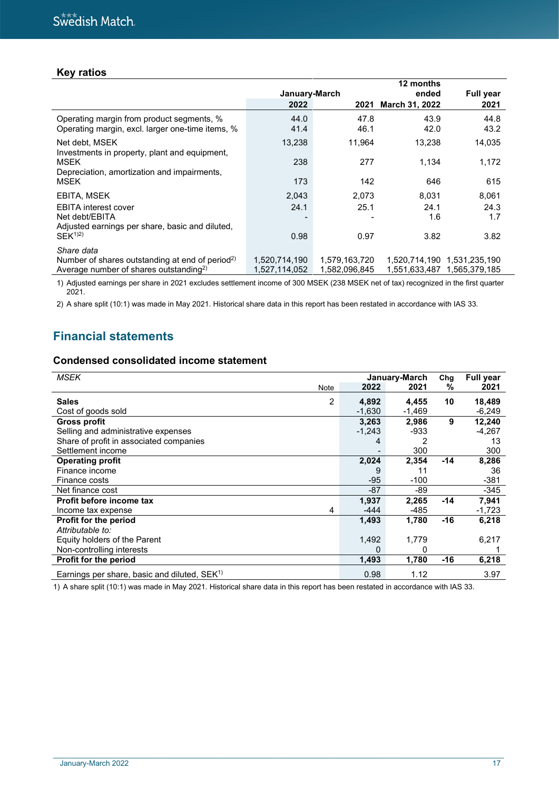# **Key ratios**

|                                                                                                                   |                                |                                | 12 months             |               |
|-------------------------------------------------------------------------------------------------------------------|--------------------------------|--------------------------------|-----------------------|---------------|
|                                                                                                                   | January-March                  |                                | ended                 | Full year     |
|                                                                                                                   | 2022                           | 2021                           | <b>March 31, 2022</b> | 2021          |
| Operating margin from product segments, %<br>Operating margin, excl. larger one-time items, %                     | 44.0<br>41.4                   | 47.8<br>46.1                   | 43.9<br>42.0          | 44.8<br>43.2  |
| Net debt, MSEK<br>Investments in property, plant and equipment,                                                   | 13,238                         | 11,964                         | 13,238                | 14,035        |
| <b>MSEK</b><br>Depreciation, amortization and impairments,                                                        | 238                            | 277                            | 1,134                 | 1,172         |
| <b>MSEK</b>                                                                                                       | 173                            | 142                            | 646                   | 615           |
| EBITA, MSEK                                                                                                       | 2,043                          | 2,073                          | 8.031                 | 8,061         |
| <b>EBITA</b> interest cover                                                                                       | 24.1                           | 25.1                           | 24.1                  | 24.3          |
| Net debt/EBITA<br>Adjusted earnings per share, basic and diluted,                                                 |                                |                                | 1.6                   | 1.7           |
| $SEK^{1/2}$                                                                                                       | 0.98                           | 0.97                           | 3.82                  | 3.82          |
| Share data                                                                                                        |                                |                                |                       |               |
| Number of shares outstanding at end of period <sup>2)</sup><br>Average number of shares outstanding <sup>2)</sup> | 1,520,714,190<br>1,527,114,052 | 1.579.163.720<br>1.582.096.845 | 1.551.633.487         | 1.565.379.185 |

1) Adjusted earnings per share in 2021 excludes settlement income of 300 MSEK (238 MSEK net of tax) recognized in the first quarter 2021.

2) A share split (10:1) was made in May 2021. Historical share data in this report has been restated in accordance with IAS 33.

# **Financial statements**

### **Condensed consolidated income statement**

| <b>MSEK</b>                                      |          | January-March | Chg   | <b>Full year</b> |
|--------------------------------------------------|----------|---------------|-------|------------------|
| Note                                             | 2022     | 2021          | %     | 2021             |
| <b>Sales</b><br>$\overline{2}$                   | 4,892    | 4,455         | 10    | 18,489           |
| Cost of goods sold                               | $-1,630$ | $-1,469$      |       | $-6,249$         |
| <b>Gross profit</b>                              | 3,263    | 2,986         | 9     | 12,240           |
| Selling and administrative expenses              | $-1,243$ | -933          |       | $-4,267$         |
| Share of profit in associated companies          | 4        |               |       | 13               |
| Settlement income                                |          | 300           |       | 300              |
| <b>Operating profit</b>                          | 2,024    | 2,354         | $-14$ | 8,286            |
| Finance income                                   |          | 11            |       | 36               |
| Finance costs                                    | $-95$    | $-100$        |       | $-381$           |
| Net finance cost                                 | -87      | -89           |       | $-345$           |
| Profit before income tax                         | 1,937    | 2,265         | $-14$ | 7,941            |
| 4<br>Income tax expense                          | $-444$   | $-485$        |       | $-1,723$         |
| <b>Profit for the period</b>                     | 1,493    | 1,780         | -16   | 6,218            |
| Attributable to:                                 |          |               |       |                  |
| Equity holders of the Parent                     | 1,492    | 1,779         |       | 6,217            |
| Non-controlling interests                        | 0        | 0             |       |                  |
| <b>Profit for the period</b>                     | 1,493    | 1,780         | $-16$ | 6,218            |
| Earnings per share, basic and diluted, $SEK^{1}$ | 0.98     | 1.12          |       | 3.97             |

1) A share split (10:1) was made in May 2021. Historical share data in this report has been restated in accordance with IAS 33.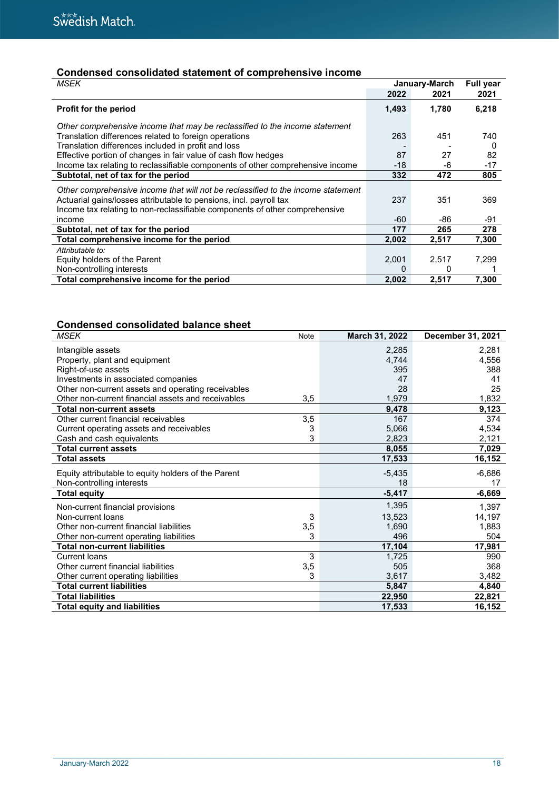# **Condensed consolidated statement of comprehensive income**

| <b>MSEK</b>                                                                      |       | January-March |          |
|----------------------------------------------------------------------------------|-------|---------------|----------|
|                                                                                  | 2022  | 2021          | 2021     |
| Profit for the period                                                            | 1,493 | 1,780         | 6,218    |
| Other comprehensive income that may be reclassified to the income statement      |       |               |          |
| Translation differences related to foreign operations                            | 263   | 451           | 740      |
| Translation differences included in profit and loss                              |       |               | $\Omega$ |
| Effective portion of changes in fair value of cash flow hedges                   | 87    | 27            | 82       |
| Income tax relating to reclassifiable components of other comprehensive income   | -18   | -6            | $-17$    |
| Subtotal, net of tax for the period                                              | 332   | 472           | 805      |
| Other comprehensive income that will not be reclassified to the income statement |       |               |          |
| Actuarial gains/losses attributable to pensions, incl. payroll tax               | 237   | 351           | 369      |
| Income tax relating to non-reclassifiable components of other comprehensive      |       |               |          |
| income                                                                           | -60   | -86           | -91      |
| Subtotal, net of tax for the period                                              | 177   | 265           | 278      |
| Total comprehensive income for the period                                        | 2,002 | 2,517         | 7,300    |
| Attributable to:                                                                 |       |               |          |
| Equity holders of the Parent                                                     | 2,001 | 2,517         | 7,299    |
| Non-controlling interests                                                        | 0     | $\mathbf{0}$  |          |
| Total comprehensive income for the period                                        | 2,002 | 2,517         | 7,300    |

# **Condensed consolidated balance sheet**

| <b>MSEK</b>                                         | Note | March 31, 2022 | December 31, 2021 |
|-----------------------------------------------------|------|----------------|-------------------|
| Intangible assets                                   |      | 2,285          | 2,281             |
| Property, plant and equipment                       |      | 4.744          | 4,556             |
| Right-of-use assets                                 |      | 395            | 388               |
| Investments in associated companies                 |      | 47             | 41                |
| Other non-current assets and operating receivables  |      | 28             | 25                |
| Other non-current financial assets and receivables  | 3,5  | 1,979          | 1,832             |
| <b>Total non-current assets</b>                     |      | 9,478          | 9,123             |
| Other current financial receivables                 | 3,5  | 167            | 374               |
| Current operating assets and receivables            | 3    | 5,066          | 4,534             |
| Cash and cash equivalents                           | 3    | 2,823          | 2,121             |
| <b>Total current assets</b>                         |      | 8,055          | 7,029             |
| <b>Total assets</b>                                 |      | 17,533         | 16,152            |
|                                                     |      |                |                   |
| Equity attributable to equity holders of the Parent |      | $-5,435$       | $-6,686$          |
| Non-controlling interests                           |      | 18             | 17                |
| <b>Total equity</b>                                 |      | $-5,417$       | $-6,669$          |
| Non-current financial provisions                    |      | 1,395          | 1,397             |
| Non-current loans                                   | 3    | 13,523         | 14,197            |
| Other non-current financial liabilities             | 3,5  | 1,690          | 1,883             |
| Other non-current operating liabilities             | 3    | 496            | 504               |
| <b>Total non-current liabilities</b>                |      | 17,104         | 17,981            |
| <b>Current loans</b>                                | 3    | 1,725          | 990               |
| Other current financial liabilities                 | 3,5  | 505            | 368               |
| Other current operating liabilities                 | 3    | 3,617          | 3,482             |
| <b>Total current liabilities</b>                    |      | 5,847          | 4,840             |
| <b>Total liabilities</b>                            |      | 22,950         | 22,821            |
| <b>Total equity and liabilities</b>                 |      | 17,533         | 16,152            |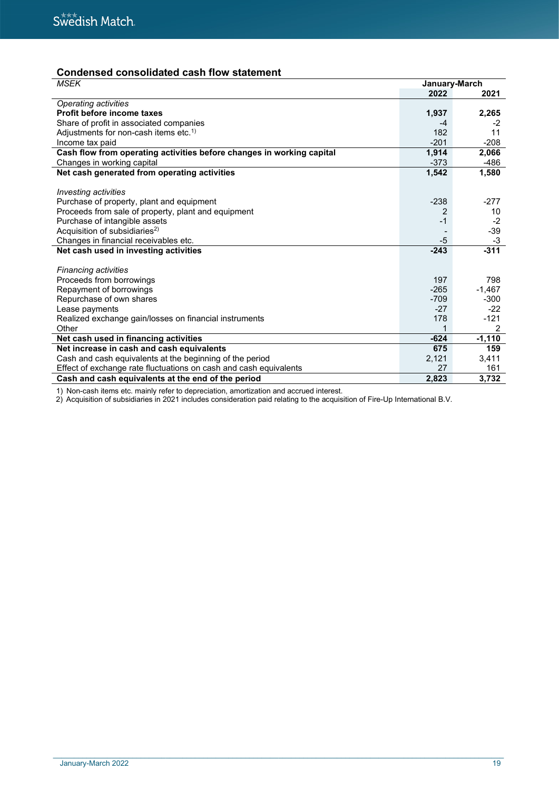# **Condensed consolidated cash flow statement**

| <b>MSEK</b>                                                           | January-March |          |
|-----------------------------------------------------------------------|---------------|----------|
|                                                                       | 2022          | 2021     |
| Operating activities                                                  |               |          |
| <b>Profit before income taxes</b>                                     | 1,937         | 2,265    |
| Share of profit in associated companies                               | -4            | -2       |
| Adjustments for non-cash items etc. <sup>1)</sup>                     | 182           | 11       |
| Income tax paid                                                       | $-201$        | $-208$   |
| Cash flow from operating activities before changes in working capital | 1,914         | 2,066    |
| Changes in working capital                                            | $-373$        | -486     |
| Net cash generated from operating activities                          | 1,542         | 1,580    |
|                                                                       |               |          |
| <b>Investing activities</b>                                           |               |          |
| Purchase of property, plant and equipment                             | $-238$        | $-277$   |
| Proceeds from sale of property, plant and equipment                   |               | 10       |
| Purchase of intangible assets                                         | $-1$          | $-2$     |
| Acquisition of subsidiaries <sup>2)</sup>                             |               | $-39$    |
| Changes in financial receivables etc.                                 | $-5$          | -3       |
| Net cash used in investing activities                                 | $-243$        | $-311$   |
|                                                                       |               |          |
| <b>Financing activities</b>                                           |               |          |
| Proceeds from borrowings                                              | 197           | 798      |
| Repayment of borrowings                                               | $-265$        | $-1,467$ |
| Repurchase of own shares                                              | $-709$        | $-300$   |
| Lease payments                                                        | $-27$         | $-22$    |
| Realized exchange gain/losses on financial instruments                | 178           | $-121$   |
| Other                                                                 |               | 2        |
| Net cash used in financing activities                                 | $-624$        | $-1,110$ |
| Net increase in cash and cash equivalents                             | 675           | 159      |
| Cash and cash equivalents at the beginning of the period              | 2,121         | 3,411    |
| Effect of exchange rate fluctuations on cash and cash equivalents     | 27            | 161      |
| Cash and cash equivalents at the end of the period                    | 2,823         | 3,732    |

1) Non-cash items etc. mainly refer to depreciation, amortization and accrued interest.

2) Acquisition of subsidiaries in 2021 includes consideration paid relating to the acquisition of Fire-Up International B.V.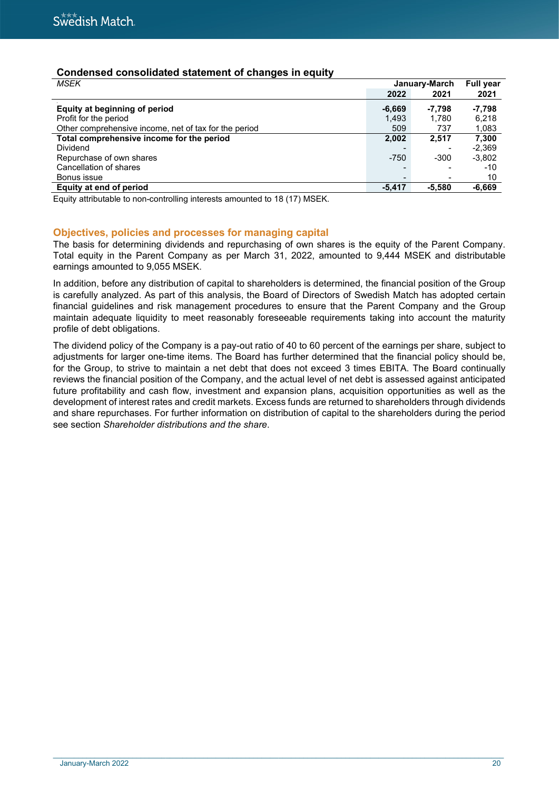# **Condensed consolidated statement of changes in equity**

| <b>MSEK</b>                                           | January-March   | Full year |          |
|-------------------------------------------------------|-----------------|-----------|----------|
|                                                       | 2022            | 2021      | 2021     |
| Equity at beginning of period                         | $-6.669$        | -7.798    | -7.798   |
| Profit for the period                                 | 1,493           | 1.780     | 6.218    |
| Other comprehensive income, net of tax for the period | 509             | 737       | 1,083    |
| Total comprehensive income for the period             | 2,002           | 2.517     | 7,300    |
| Dividend                                              |                 |           | $-2.369$ |
| Repurchase of own shares                              | $-750$          | $-300$    | $-3,802$ |
| Cancellation of shares                                | $\blacksquare$  |           | $-10$    |
| Bonus issue                                           | $\qquad \qquad$ |           | 10       |
| Equity at end of period                               | $-5.417$        | $-5.580$  | $-6,669$ |

Equity attributable to non-controlling interests amounted to 18 (17) MSEK.

### **Objectives, policies and processes for managing capital**

The basis for determining dividends and repurchasing of own shares is the equity of the Parent Company. Total equity in the Parent Company as per March 31, 2022, amounted to 9,444 MSEK and distributable earnings amounted to 9,055 MSEK.

In addition, before any distribution of capital to shareholders is determined, the financial position of the Group is carefully analyzed. As part of this analysis, the Board of Directors of Swedish Match has adopted certain financial guidelines and risk management procedures to ensure that the Parent Company and the Group maintain adequate liquidity to meet reasonably foreseeable requirements taking into account the maturity profile of debt obligations.

The dividend policy of the Company is a pay-out ratio of 40 to 60 percent of the earnings per share, subject to adjustments for larger one-time items. The Board has further determined that the financial policy should be, for the Group, to strive to maintain a net debt that does not exceed 3 times EBITA. The Board continually reviews the financial position of the Company, and the actual level of net debt is assessed against anticipated future profitability and cash flow, investment and expansion plans, acquisition opportunities as well as the development of interest rates and credit markets. Excess funds are returned to shareholders through dividends and share repurchases. For further information on distribution of capital to the shareholders during the period see section *Shareholder distributions and the share*.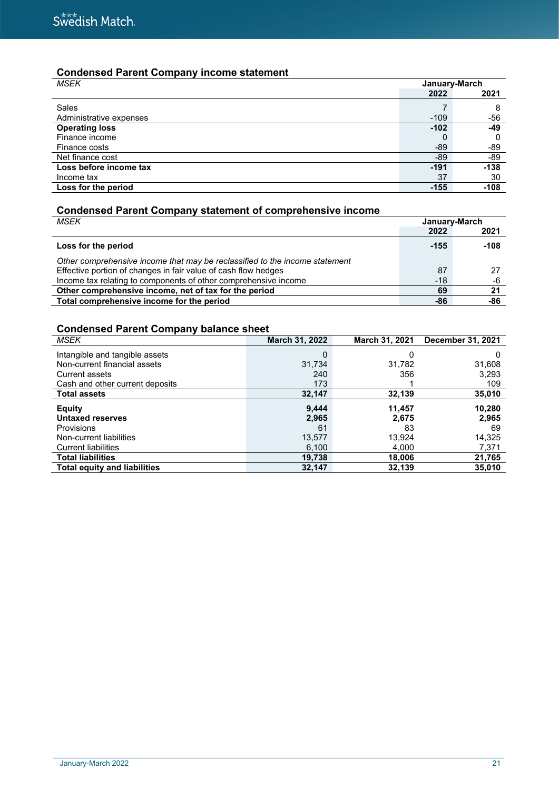# **Condensed Parent Company income statement**

| <b>MSEK</b>             | January-March |        |  |
|-------------------------|---------------|--------|--|
|                         | 2022          | 2021   |  |
| Sales                   |               | 8      |  |
| Administrative expenses | $-109$        | -56    |  |
| <b>Operating loss</b>   | $-102$        | -49    |  |
| Finance income          |               | 0      |  |
| Finance costs           | $-89$         | -89    |  |
| Net finance cost        | -89           | -89    |  |
| Loss before income tax  | $-191$        | $-138$ |  |
| Income tax              | 37            | 30     |  |
| Loss for the period     | $-155$        | $-108$ |  |

# **Condensed Parent Company statement of comprehensive income**

| MSEK                                                                        | January-March |        |  |
|-----------------------------------------------------------------------------|---------------|--------|--|
|                                                                             | 2022          | 2021   |  |
| Loss for the period                                                         | $-155$        | $-108$ |  |
| Other comprehensive income that may be reclassified to the income statement |               |        |  |
| Effective portion of changes in fair value of cash flow hedges              | 87            | 27     |  |
| Income tax relating to components of other comprehensive income             | $-18$         | -6     |  |
| Other comprehensive income, net of tax for the period                       | 69            | 21     |  |
| Total comprehensive income for the period                                   | -86           | -86    |  |

# **Condensed Parent Company balance sheet**

| <b>MSEK</b>                         | March 31, 2022 | March 31, 2021 | December 31, 2021 |
|-------------------------------------|----------------|----------------|-------------------|
| Intangible and tangible assets      | 0              | 0              |                   |
| Non-current financial assets        | 31,734         | 31,782         | 31,608            |
| Current assets                      | 240            | 356            | 3,293             |
| Cash and other current deposits     | 173            |                | 109               |
| <b>Total assets</b>                 | 32,147         | 32,139         | 35,010            |
| <b>Equity</b>                       | 9,444          | 11,457         | 10,280            |
| <b>Untaxed reserves</b>             | 2,965          | 2,675          | 2,965             |
| Provisions                          | 61             | 83             | 69                |
| Non-current liabilities             | 13,577         | 13,924         | 14,325            |
| <b>Current liabilities</b>          | 6,100          | 4.000          | 7,371             |
| <b>Total liabilities</b>            | 19.738         | 18,006         | 21,765            |
| <b>Total equity and liabilities</b> | 32,147         | 32,139         | 35,010            |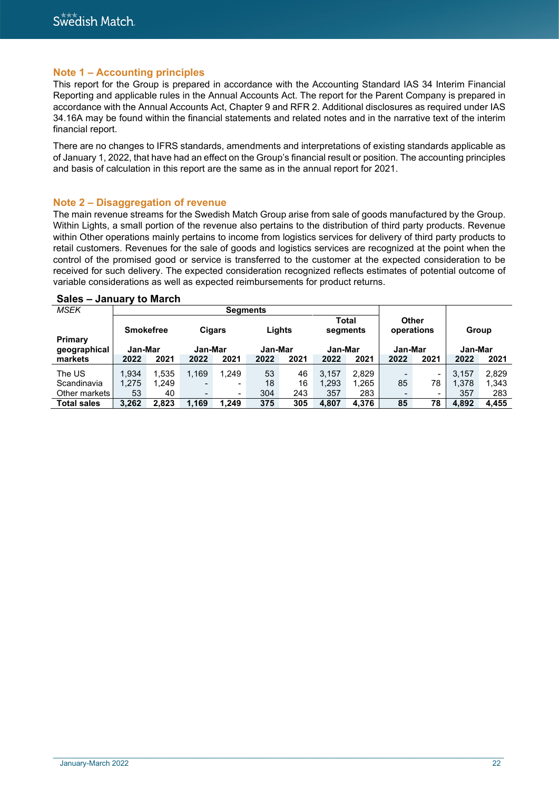### **Note 1 – Accounting principles**

This report for the Group is prepared in accordance with the Accounting Standard IAS 34 Interim Financial Reporting and applicable rules in the Annual Accounts Act. The report for the Parent Company is prepared in accordance with the Annual Accounts Act, Chapter 9 and RFR 2. Additional disclosures as required under IAS 34.16A may be found within the financial statements and related notes and in the narrative text of the interim financial report.

There are no changes to IFRS standards, amendments and interpretations of existing standards applicable as of January 1, 2022, that have had an effect on the Group's financial result or position. The accounting principles and basis of calculation in this report are the same as in the annual report for 2021.

#### **Note 2 – Disaggregation of revenue**

The main revenue streams for the Swedish Match Group arise from sale of goods manufactured by the Group. Within Lights, a small portion of the revenue also pertains to the distribution of third party products. Revenue within Other operations mainly pertains to income from logistics services for delivery of third party products to retail customers. Revenues for the sale of goods and logistics services are recognized at the point when the control of the promised good or service is transferred to the customer at the expected consideration to be received for such delivery. The expected consideration recognized reflects estimates of potential outcome of variable considerations as well as expected reimbursements for product returns.

| <b>MSEK</b>        |                  |       |                          | <b>Segments</b>          |         |      |                          |       |                     |                          |         |       |
|--------------------|------------------|-------|--------------------------|--------------------------|---------|------|--------------------------|-------|---------------------|--------------------------|---------|-------|
| Primary            | <b>Smokefree</b> |       | Cigars                   |                          | Lights  |      | <b>Total</b><br>segments |       | Other<br>operations |                          | Group   |       |
| geographical       | Jan-Mar          |       | Jan-Mar                  |                          | Jan-Mar |      | Jan-Mar                  |       | Jan-Mar             |                          | Jan-Mar |       |
| markets            | 2022             | 2021  | 2022                     | 2021                     | 2022    | 2021 | 2022                     | 2021  | 2022                | 2021                     | 2022    | 2021  |
| The US             | 1.934            | 1.535 | 1,169                    | 1.249                    | 53      | 46   | 3,157                    | 2,829 |                     | $\overline{\phantom{a}}$ | 3.157   | 2.829 |
| Scandinavia        | 1,275            | 1.249 | $\overline{\phantom{0}}$ | $\qquad \qquad$          | 18      | 16   | 1,293                    | 1,265 | 85                  | 78                       | 1,378   | 1.343 |
| Other markets I    | 53               | 40    | $\qquad \qquad$          | $\overline{\phantom{a}}$ | 304     | 243  | 357                      | 283   |                     | $\overline{\phantom{0}}$ | 357     | 283   |
| <b>Total sales</b> | 3.262            | 2,823 | 1,169                    | 1.249                    | 375     | 305  | 4,807                    | 4.376 | 85                  | 78                       | 4,892   | 4,455 |

#### **Sales – January to March**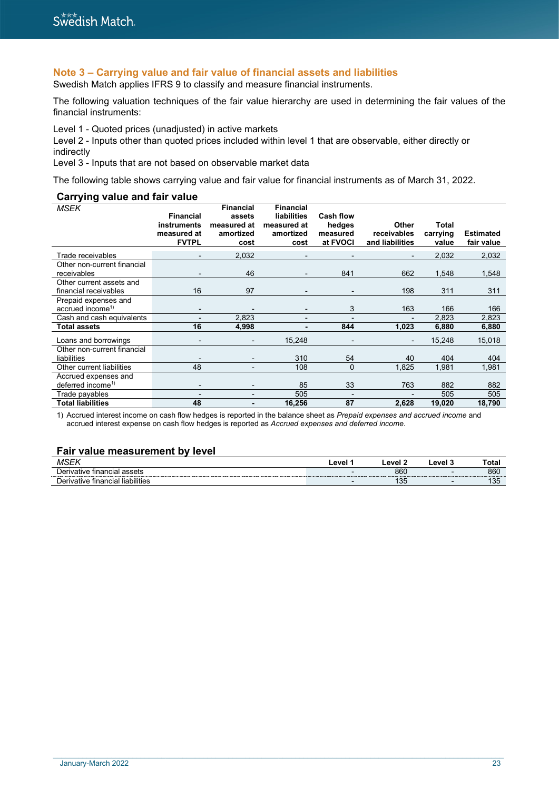# **Note 3 – Carrying value and fair value of financial assets and liabilities**

Swedish Match applies IFRS 9 to classify and measure financial instruments.

The following valuation techniques of the fair value hierarchy are used in determining the fair values of the financial instruments:

Level 1 - Quoted prices (unadjusted) in active markets

Level 2 - Inputs other than quoted prices included within level 1 that are observable, either directly or indirectly

Level 3 - Inputs that are not based on observable market data

The following table shows carrying value and fair value for financial instruments as of March 31, 2022.

#### **Carrying value and fair value**

| <b>MSEK</b>                                           | <b>Financial</b>                           | <b>Financial</b><br>assets       | <b>Financial</b><br>liabilities  | <b>Cash flow</b>               |                                         |                            |                                |
|-------------------------------------------------------|--------------------------------------------|----------------------------------|----------------------------------|--------------------------------|-----------------------------------------|----------------------------|--------------------------------|
|                                                       | instruments<br>measured at<br><b>FVTPL</b> | measured at<br>amortized<br>cost | measured at<br>amortized<br>cost | hedges<br>measured<br>at FVOCI | Other<br>receivables<br>and liabilities | Total<br>carrying<br>value | <b>Estimated</b><br>fair value |
| Trade receivables                                     | -                                          | 2,032                            |                                  |                                | $\overline{\phantom{0}}$                | 2,032                      | 2,032                          |
| Other non-current financial<br>receivables            | $\overline{\phantom{0}}$                   | 46                               |                                  | 841                            | 662                                     | 1,548                      | 1,548                          |
| Other current assets and<br>financial receivables     | 16                                         | 97                               |                                  |                                | 198                                     | 311                        | 311                            |
| Prepaid expenses and<br>accrued income <sup>1)</sup>  | $\overline{a}$                             |                                  |                                  | 3                              | 163                                     | 166                        | 166                            |
| Cash and cash equivalents                             |                                            | 2,823                            |                                  |                                |                                         | 2,823                      | 2,823                          |
| <b>Total assets</b>                                   | 16                                         | 4,998                            |                                  | 844                            | 1,023                                   | 6,880                      | 6,880                          |
| Loans and borrowings                                  | -                                          |                                  | 15,248                           |                                | $\overline{\phantom{0}}$                | 15,248                     | 15,018                         |
| Other non-current financial<br>liabilities            |                                            |                                  | 310                              | 54                             | 40                                      | 404                        | 404                            |
| Other current liabilities                             | 48                                         |                                  | 108                              | $\mathbf 0$                    | 1,825                                   | 1,981                      | 1,981                          |
| Accrued expenses and<br>deferred income <sup>1)</sup> | -                                          | $\qquad \qquad \blacksquare$     | 85                               | 33                             | 763                                     | 882                        | 882                            |
| Trade payables                                        |                                            |                                  | 505                              |                                |                                         | 505                        | 505                            |
| <b>Total liabilities</b>                              | 48                                         | -                                | 16,256                           | 87                             | 2,628                                   | 19,020                     | 18,790                         |

1) Accrued interest income on cash flow hedges is reported in the balance sheet as *Prepaid expenses and accrued income* and accrued interest expense on cash flow hedges is reported as *Accrued expenses and deferred income*.

### **Fair value measurement by level**

|                                        | evel | $^{\circ}$ $^{\circ}$ | $\sim$ | ota. |
|----------------------------------------|------|-----------------------|--------|------|
| ivative financial assets               |      | 860                   |        | 860  |
| ⊧ financial<br>≅ IlabilitieJ<br>vative |      | ں ر                   |        | ∪ט   |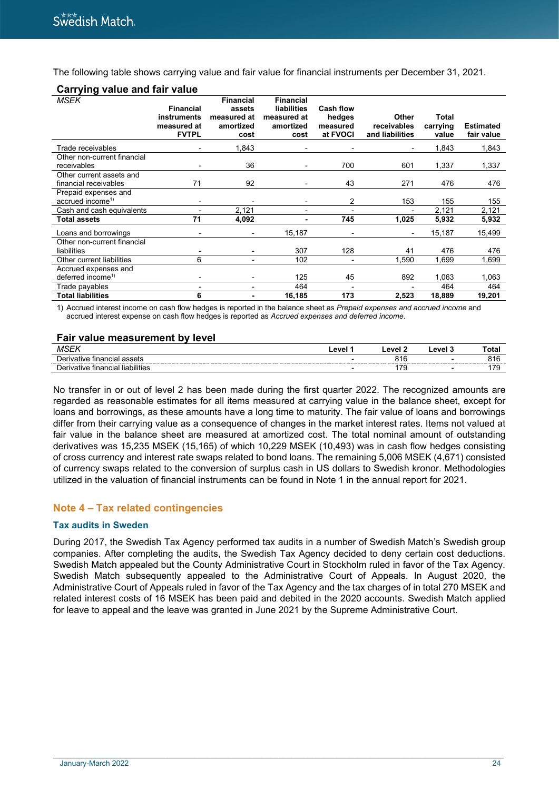The following table shows carrying value and fair value for financial instruments per December 31, 2021.

| <b>MSEK</b>                                           | <b>Financial</b><br>instruments<br>measured at<br><b>FVTPL</b> | <b>Financial</b><br>assets<br>measured at<br>amortized<br>cost | <b>Financial</b><br>liabilities<br>measured at<br>amortized<br>cost | Cash flow<br>hedges<br>measured<br>at FVOCI | Other<br>receivables<br>and liabilities | Total<br>carrying<br>value | <b>Estimated</b><br>fair value |
|-------------------------------------------------------|----------------------------------------------------------------|----------------------------------------------------------------|---------------------------------------------------------------------|---------------------------------------------|-----------------------------------------|----------------------------|--------------------------------|
| Trade receivables                                     |                                                                | 1,843                                                          |                                                                     |                                             |                                         | 1,843                      | 1,843                          |
| Other non-current financial<br>receivables            |                                                                | 36                                                             |                                                                     | 700                                         | 601                                     | 1,337                      | 1,337                          |
| Other current assets and<br>financial receivables     | 71                                                             | 92                                                             |                                                                     | 43                                          | 271                                     | 476                        | 476                            |
| Prepaid expenses and<br>accrued income <sup>1)</sup>  |                                                                | $\blacksquare$                                                 |                                                                     | 2                                           | 153                                     | 155                        | 155                            |
| Cash and cash equivalents                             |                                                                | 2,121                                                          |                                                                     |                                             |                                         | 2,121                      | 2,121                          |
| Total assets                                          | 71                                                             | 4,092                                                          |                                                                     | 745                                         | 1,025                                   | 5,932                      | 5,932                          |
| Loans and borrowings                                  |                                                                |                                                                | 15,187                                                              |                                             |                                         | 15,187                     | 15,499                         |
| Other non-current financial<br>liabilities            |                                                                |                                                                | 307                                                                 | 128                                         | 41                                      | 476                        | 476                            |
| Other current liabilities                             | 6                                                              |                                                                | 102                                                                 | $\blacksquare$                              | 1,590                                   | 1,699                      | 1,699                          |
| Accrued expenses and<br>deferred income <sup>1)</sup> |                                                                |                                                                | 125                                                                 | 45                                          | 892                                     | 1,063                      | 1,063                          |
| Trade payables                                        |                                                                |                                                                | 464                                                                 | $\overline{a}$                              |                                         | 464                        | 464                            |
| <b>Total liabilities</b>                              | 6                                                              |                                                                | 16,185                                                              | 173                                         | 2,523                                   | 18,889                     | 19,201                         |

#### **Carrying value and fair value**

1) Accrued interest income on cash flow hedges is reported in the balance sheet as *Prepaid expenses and accrued income* and accrued interest expense on cash flow hedges is reported as *Accrued expenses and deferred income*.

#### **Fair value measurement by level**

| <b>MSEY</b>                                         | evel | _evel | Level 3 | Total                    |
|-----------------------------------------------------|------|-------|---------|--------------------------|
| Deriva<br>™vative financial<br>l assets             |      | ט ו ט |         | 019                      |
| <br>l liabilities<br>)er<br>vative financial<br>.1V |      |       |         | $\overline{\phantom{a}}$ |

No transfer in or out of level 2 has been made during the first quarter 2022. The recognized amounts are regarded as reasonable estimates for all items measured at carrying value in the balance sheet, except for loans and borrowings, as these amounts have a long time to maturity. The fair value of loans and borrowings differ from their carrying value as a consequence of changes in the market interest rates. Items not valued at fair value in the balance sheet are measured at amortized cost. The total nominal amount of outstanding derivatives was 15,235 MSEK (15,165) of which 10,229 MSEK (10,493) was in cash flow hedges consisting of cross currency and interest rate swaps related to bond loans. The remaining 5,006 MSEK (4,671) consisted of currency swaps related to the conversion of surplus cash in US dollars to Swedish kronor. Methodologies utilized in the valuation of financial instruments can be found in Note 1 in the annual report for 2021.

### **Note 4 – Tax related contingencies**

#### **Tax audits in Sweden**

During 2017, the Swedish Tax Agency performed tax audits in a number of Swedish Match's Swedish group companies. After completing the audits, the Swedish Tax Agency decided to deny certain cost deductions. Swedish Match appealed but the County Administrative Court in Stockholm ruled in favor of the Tax Agency. Swedish Match subsequently appealed to the Administrative Court of Appeals. In August 2020, the Administrative Court of Appeals ruled in favor of the Tax Agency and the tax charges of in total 270 MSEK and related interest costs of 16 MSEK has been paid and debited in the 2020 accounts. Swedish Match applied for leave to appeal and the leave was granted in June 2021 by the Supreme Administrative Court.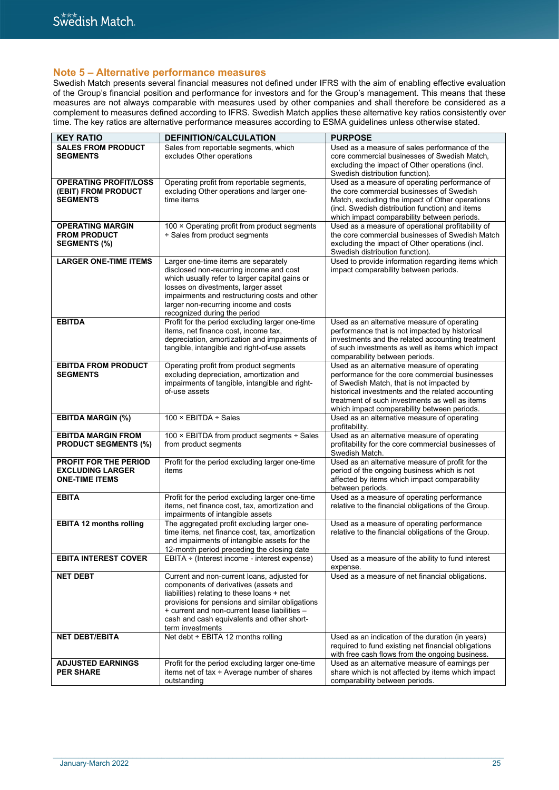### **Note 5 – Alternative performance measures**

Swedish Match presents several financial measures not defined under IFRS with the aim of enabling effective evaluation of the Group's financial position and performance for investors and for the Group's management. This means that these measures are not always comparable with measures used by other companies and shall therefore be considered as a complement to measures defined according to IFRS. Swedish Match applies these alternative key ratios consistently over time. The key ratios are alternative performance measures according to ESMA guidelines unless otherwise stated.

| <b>KEY RATIO</b>               | DEFINITION/CALCULATION                                                                  | <b>PURPOSE</b>                                                                                     |
|--------------------------------|-----------------------------------------------------------------------------------------|----------------------------------------------------------------------------------------------------|
| <b>SALES FROM PRODUCT</b>      | Sales from reportable segments, which                                                   | Used as a measure of sales performance of the                                                      |
| <b>SEGMENTS</b>                | excludes Other operations                                                               | core commercial businesses of Swedish Match,                                                       |
|                                |                                                                                         | excluding the impact of Other operations (incl.                                                    |
|                                |                                                                                         | Swedish distribution function).                                                                    |
| <b>OPERATING PROFIT/LOSS</b>   | Operating profit from reportable segments,                                              | Used as a measure of operating performance of                                                      |
| (EBIT) FROM PRODUCT            | excluding Other operations and larger one-                                              | the core commercial businesses of Swedish                                                          |
| <b>SEGMENTS</b>                | time items                                                                              | Match, excluding the impact of Other operations                                                    |
|                                |                                                                                         | (incl. Swedish distribution function) and items                                                    |
|                                |                                                                                         | which impact comparability between periods.                                                        |
| <b>OPERATING MARGIN</b>        | 100 × Operating profit from product segments                                            | Used as a measure of operational profitability of                                                  |
| <b>FROM PRODUCT</b>            | ÷ Sales from product segments                                                           | the core commercial businesses of Swedish Match                                                    |
| <b>SEGMENTS (%)</b>            |                                                                                         | excluding the impact of Other operations (incl.                                                    |
|                                |                                                                                         | Swedish distribution function).                                                                    |
| <b>LARGER ONE-TIME ITEMS</b>   | Larger one-time items are separately                                                    | Used to provide information regarding items which                                                  |
|                                | disclosed non-recurring income and cost                                                 | impact comparability between periods.                                                              |
|                                | which usually refer to larger capital gains or                                          |                                                                                                    |
|                                | losses on divestments, larger asset                                                     |                                                                                                    |
|                                | impairments and restructuring costs and other                                           |                                                                                                    |
|                                | larger non-recurring income and costs                                                   |                                                                                                    |
| <b>EBITDA</b>                  | recognized during the period                                                            |                                                                                                    |
|                                | Profit for the period excluding larger one-time<br>items, net finance cost, income tax, | Used as an alternative measure of operating                                                        |
|                                | depreciation, amortization and impairments of                                           | performance that is not impacted by historical<br>investments and the related accounting treatment |
|                                | tangible, intangible and right-of-use assets                                            | of such investments as well as items which impact                                                  |
|                                |                                                                                         | comparability between periods.                                                                     |
| <b>EBITDA FROM PRODUCT</b>     | Operating profit from product segments                                                  | Used as an alternative measure of operating                                                        |
| <b>SEGMENTS</b>                | excluding depreciation, amortization and                                                | performance for the core commercial businesses                                                     |
|                                | impairments of tangible, intangible and right-                                          | of Swedish Match, that is not impacted by                                                          |
|                                | of-use assets                                                                           | historical investments and the related accounting                                                  |
|                                |                                                                                         | treatment of such investments as well as items                                                     |
|                                |                                                                                         | which impact comparability between periods.                                                        |
| <b>EBITDA MARGIN (%)</b>       | 100 $\times$ EBITDA ÷ Sales                                                             | Used as an alternative measure of operating                                                        |
|                                |                                                                                         | profitability.                                                                                     |
| <b>EBITDA MARGIN FROM</b>      | 100 × EBITDA from product segments ÷ Sales                                              | Used as an alternative measure of operating                                                        |
| <b>PRODUCT SEGMENTS (%)</b>    | from product segments                                                                   | profitability for the core commercial businesses of                                                |
|                                |                                                                                         | Swedish Match.                                                                                     |
| PROFIT FOR THE PERIOD          | Profit for the period excluding larger one-time                                         | Used as an alternative measure of profit for the                                                   |
| <b>EXCLUDING LARGER</b>        | items                                                                                   | period of the ongoing business which is not                                                        |
| <b>ONE-TIME ITEMS</b>          |                                                                                         | affected by items which impact comparability                                                       |
| <b>EBITA</b>                   | Profit for the period excluding larger one-time                                         | between periods.<br>Used as a measure of operating performance                                     |
|                                | items, net finance cost, tax, amortization and                                          | relative to the financial obligations of the Group.                                                |
|                                | impairments of intangible assets                                                        |                                                                                                    |
| <b>EBITA 12 months rolling</b> | The aggregated profit excluding larger one-                                             | Used as a measure of operating performance                                                         |
|                                | time items, net finance cost, tax, amortization                                         | relative to the financial obligations of the Group.                                                |
|                                | and impairments of intangible assets for the                                            |                                                                                                    |
|                                | 12-month period preceding the closing date                                              |                                                                                                    |
| <b>EBITA INTEREST COVER</b>    | EBITA + (Interest income - interest expense)                                            | Used as a measure of the ability to fund interest                                                  |
|                                |                                                                                         | expense.                                                                                           |
| <b>NET DEBT</b>                | Current and non-current loans, adjusted for                                             | Used as a measure of net financial obligations.                                                    |
|                                | components of derivatives (assets and                                                   |                                                                                                    |
|                                | liabilities) relating to these loans + net                                              |                                                                                                    |
|                                | provisions for pensions and similar obligations                                         |                                                                                                    |
|                                | + current and non-current lease liabilities -                                           |                                                                                                    |
|                                | cash and cash equivalents and other short-                                              |                                                                                                    |
|                                | term investments                                                                        |                                                                                                    |
| <b>NET DEBT/EBITA</b>          | Net debt ÷ EBITA 12 months rolling                                                      | Used as an indication of the duration (in years)                                                   |
|                                |                                                                                         | required to fund existing net financial obligations                                                |
|                                |                                                                                         | with free cash flows from the ongoing business.                                                    |
| <b>ADJUSTED EARNINGS</b>       | Profit for the period excluding larger one-time                                         | Used as an alternative measure of earnings per                                                     |
| <b>PER SHARE</b>               | items net of tax ÷ Average number of shares                                             | share which is not affected by items which impact                                                  |
|                                | outstanding                                                                             | comparability between periods.                                                                     |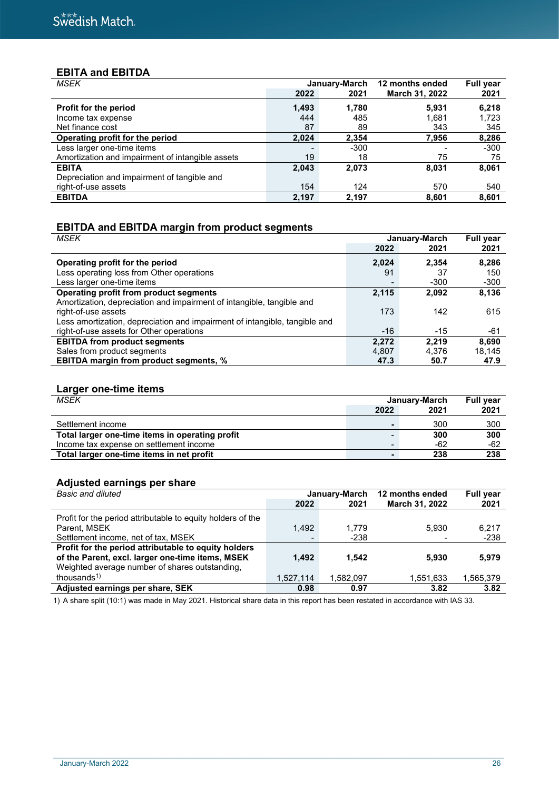# **EBITA and EBITDA**

| <b>MSEK</b>                                      |       | January-March | 12 months ended       | <b>Full year</b> |
|--------------------------------------------------|-------|---------------|-----------------------|------------------|
|                                                  | 2022  | 2021          | <b>March 31, 2022</b> | 2021             |
| <b>Profit for the period</b>                     | 1,493 | 1.780         | 5.931                 | 6,218            |
| Income tax expense                               | 444   | 485           | 1,681                 | 1,723            |
| Net finance cost                                 | 87    | 89            | 343                   | 345              |
| Operating profit for the period                  | 2,024 | 2,354         | 7,956                 | 8,286            |
| Less larger one-time items                       |       | $-300$        |                       | $-300$           |
| Amortization and impairment of intangible assets | 19    | 18            | 75                    | 75               |
| <b>EBITA</b>                                     | 2,043 | 2,073         | 8,031                 | 8,061            |
| Depreciation and impairment of tangible and      |       |               |                       |                  |
| right-of-use assets                              | 154   | 124           | 570                   | 540              |
| <b>EBITDA</b>                                    | 2,197 | 2,197         | 8,601                 | 8,601            |

# **EBITDA and EBITDA margin from product segments**

| <b>MSEK</b><br>January-March                                               |                |        | <b>Full year</b> |
|----------------------------------------------------------------------------|----------------|--------|------------------|
|                                                                            | 2022           | 2021   | 2021             |
| Operating profit for the period                                            | 2.024          | 2.354  | 8,286            |
| Less operating loss from Other operations                                  | 91             | 37     | 150              |
| Less larger one-time items                                                 | $\blacksquare$ | $-300$ | $-300$           |
| Operating profit from product segments                                     | 2.115          | 2,092  | 8,136            |
| Amortization, depreciation and impairment of intangible, tangible and      |                |        |                  |
| right-of-use assets                                                        | 173            | 142    | 615              |
| Less amortization, depreciation and impairment of intangible, tangible and |                |        |                  |
| right-of-use assets for Other operations                                   | $-16$          | $-15$  | -61              |
| <b>EBITDA from product segments</b>                                        | 2.272          | 2.219  | 8,690            |
| Sales from product segments                                                | 4,807          | 4.376  | 18,145           |
| <b>EBITDA margin from product segments, %</b>                              | 47.3           | 50.7   | 47.9             |

# **Larger one-time items**

| <b>MSEK</b>                                     | January-March            | <b>Full year</b> |      |
|-------------------------------------------------|--------------------------|------------------|------|
|                                                 | 2022                     | 2021             | 2021 |
| Settlement income                               |                          | 300              | 300  |
| Total larger one-time items in operating profit |                          | 300              | 300  |
| Income tax expense on settlement income         | $\overline{\phantom{a}}$ | -62              | -62  |
| Total larger one-time items in net profit       |                          | 238              | 238  |

# **Adjusted earnings per share**

| <b>Basic and diluted</b>                                    |           | January-March | 12 months ended | <b>Full year</b> |
|-------------------------------------------------------------|-----------|---------------|-----------------|------------------|
|                                                             | 2022      | 2021          | March 31, 2022  | 2021             |
| Profit for the period attributable to equity holders of the |           |               |                 |                  |
| Parent, MSEK                                                | 1.492     | 1,779         | 5.930           | 6,217            |
| Settlement income, net of tax, MSEK                         |           | $-238$        |                 | $-238$           |
| Profit for the period attributable to equity holders        |           |               |                 |                  |
| of the Parent, excl. larger one-time items, MSEK            | 1.492     | 1.542         | 5.930           | 5,979            |
| Weighted average number of shares outstanding,              |           |               |                 |                  |
| thousands $1$ )                                             | 1,527,114 | 1.582.097     | 1,551,633       | 1,565,379        |
| Adjusted earnings per share, SEK                            | 0.98      | 0.97          | 3.82            | 3.82             |

 $\_$  , and the state of the state of the state of the state of the state of the state of the state of the state of the state of the state of the state of the state of the state of the state of the state of the state of the

1) A share split (10:1) was made in May 2021. Historical share data in this report has been restated in accordance with IAS 33.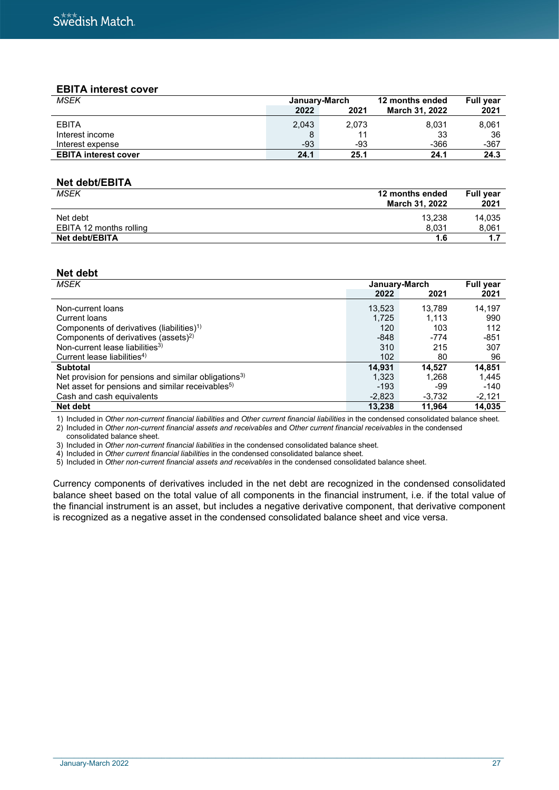### **EBITA interest cover**

| <b>MSEK</b>                 | January-March |       | 12 months ended       | <b>Full year</b> |
|-----------------------------|---------------|-------|-----------------------|------------------|
|                             | 2022          | 2021  | <b>March 31, 2022</b> | 2021             |
| <b>EBITA</b>                | 2,043         | 2,073 | 8,031                 | 8.061            |
| Interest income             |               |       | 33                    | 36               |
| Interest expense            | $-93$         | -93   | $-366$                | $-367$           |
| <b>EBITA interest cover</b> | 24.1          | 25.1  | 24.1                  | 24.3             |

#### **Net debt/EBITA**

| <b>MSEK</b>             | 12 months ended<br>March 31, 2022 | <b>Full vear</b><br>2021 |
|-------------------------|-----------------------------------|--------------------------|
| Net debt                | 13.238                            | 14.035                   |
| EBITA 12 months rolling | 8.031                             | 8,061                    |
| Net debt/EBITA          | 1.6                               | 47                       |

### **Net debt**

| <b>MSEK</b>                                                      | January-March | <b>Full year</b> |          |
|------------------------------------------------------------------|---------------|------------------|----------|
|                                                                  | 2022          | 2021             | 2021     |
| Non-current loans                                                | 13.523        | 13.789           | 14.197   |
| Current loans                                                    | 1.725         | 1.113            | 990      |
| Components of derivatives (liabilities) <sup>1)</sup>            | 120           | 103              | 112      |
| Components of derivatives (assets) <sup>2)</sup>                 | $-848$        | $-774$           | $-851$   |
| Non-current lease liabilities <sup>3)</sup>                      | 310           | 215              | 307      |
| Current lease liabilities <sup>4)</sup>                          | 102           | 80               | 96       |
| <b>Subtotal</b>                                                  | 14,931        | 14.527           | 14,851   |
| Net provision for pensions and similar obligations <sup>3)</sup> | 1,323         | 1.268            | 1.445    |
| Net asset for pensions and similar receivables <sup>5)</sup>     | $-193$        | -99              | $-140$   |
| Cash and cash equivalents                                        | $-2,823$      | $-3,732$         | $-2,121$ |
| Net debt                                                         | 13,238        | 11,964           | 14,035   |

1) Included in *Other non-current financial liabilities* and *Other current financial liabilities* in the condensed consolidated balance sheet. 2) Included in *Other non-current financial assets and receivables* and *Other current financial receivables* in the condensed

consolidated balance sheet.

3) Included in *Other non-current financial liabilities* in the condensed consolidated balance sheet.

4) Included in *Other current financial liabilities* in the condensed consolidated balance sheet.

5) Included in *Other non-current financial assets and receivables* in the condensed consolidated balance sheet.

Currency components of derivatives included in the net debt are recognized in the condensed consolidated balance sheet based on the total value of all components in the financial instrument, i.e. if the total value of the financial instrument is an asset, but includes a negative derivative component, that derivative component is recognized as a negative asset in the condensed consolidated balance sheet and vice versa.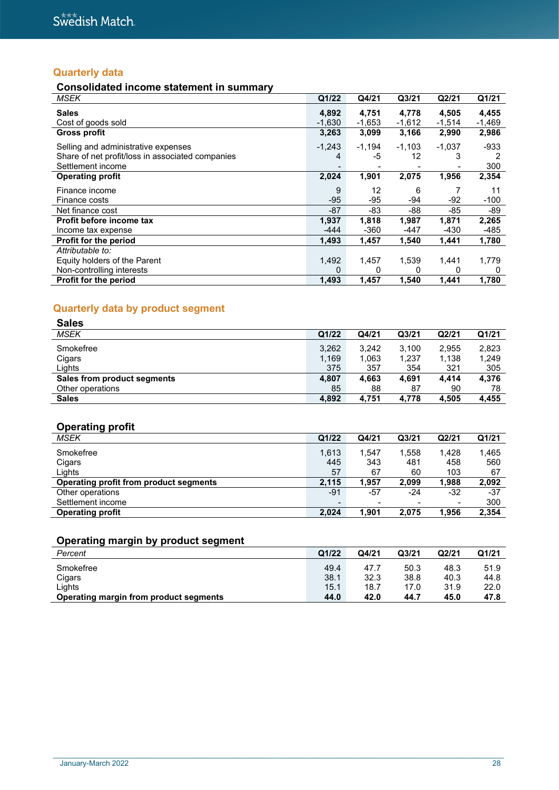# **Quarterly data**

# **Consolidated income statement in summary**

| <b>MSEK</b>                                                                                                  | Q1/22             | Q4/21             | Q3/21             | Q2/21             | Q1/21             |
|--------------------------------------------------------------------------------------------------------------|-------------------|-------------------|-------------------|-------------------|-------------------|
| <b>Sales</b><br>Cost of goods sold                                                                           | 4,892<br>$-1,630$ | 4,751<br>$-1,653$ | 4,778<br>$-1,612$ | 4,505<br>$-1,514$ | 4,455<br>$-1,469$ |
| <b>Gross profit</b>                                                                                          | 3,263             | 3,099             | 3,166             | 2,990             | 2,986             |
| Selling and administrative expenses<br>Share of net profit/loss in associated companies<br>Settlement income | $-1,243$<br>4     | $-1,194$<br>-5    | $-1,103$<br>12    | $-1,037$          | $-933$<br>300     |
| <b>Operating profit</b>                                                                                      | 2,024             | 1,901             | 2,075             | 1,956             | 2,354             |
| Finance income                                                                                               | 9                 | 12                | 6                 |                   | 11                |
| Finance costs                                                                                                | $-95$             | -95               | -94               | $-92$             | $-100$            |
| Net finance cost                                                                                             | $-87$             | -83               | -88               | -85               | -89               |
| Profit before income tax                                                                                     | 1,937             | 1,818             | 1,987             | 1,871             | 2,265             |
| Income tax expense                                                                                           | $-444$            | -360              | $-447$            | $-430$            | -485              |
| Profit for the period                                                                                        | 1,493             | 1,457             | 1,540             | 1,441             | 1,780             |
| Attributable to:                                                                                             |                   |                   |                   |                   |                   |
| Equity holders of the Parent                                                                                 | 1,492             | 1,457             | 1,539             | 1.441             | 1,779             |
| Non-controlling interests                                                                                    | 0                 | 0                 | 0                 | 0                 | 0                 |
| Profit for the period                                                                                        | 1,493             | 1,457             | 1,540             | 1,441             | 1,780             |

# **Quarterly data by product segment**

| <b>Sales</b>                |       |       |                   |       |       |
|-----------------------------|-------|-------|-------------------|-------|-------|
| <b>MSEK</b>                 | Q1/22 | Q4/21 | Q <sub>3/21</sub> | Q2/21 | Q1/21 |
| Smokefree                   | 3,262 | 3.242 | 3,100             | 2,955 | 2,823 |
| Cigars                      | 1,169 | 1,063 | 1,237             | 1,138 | 1,249 |
| Lights                      | 375   | 357   | 354               | 321   | 305   |
| Sales from product segments | 4,807 | 4.663 | 4,691             | 4.414 | 4.376 |
| Other operations            | 85    | 88    | 87                | 90    | 78    |
| <b>Sales</b>                | 4,892 | 4,751 | 4,778             | 4,505 | 4,455 |

# **Operating profit**

| . .<br>MSEK                            | Q1/22                    | Q4/21 | Q <sub>3/21</sub> | Q2/21                    | Q1/21 |
|----------------------------------------|--------------------------|-------|-------------------|--------------------------|-------|
| Smokefree                              | 1,613                    | 1.547 | 1,558             | 1,428                    | 1,465 |
| Cigars                                 | 445                      | 343   | 481               | 458                      | 560   |
| Lights                                 | 57                       | 67    | 60                | 103                      | 67    |
| Operating profit from product segments | 2.115                    | 1.957 | 2,099             | 1,988                    | 2,092 |
| Other operations                       | $-91$                    | -57   | $-24$             | $-32$                    | $-37$ |
| Settlement income                      | $\overline{\phantom{0}}$ |       | $\,$              | $\overline{\phantom{0}}$ | 300   |
| <b>Operating profit</b>                | 2.024                    | 1.901 | 2.075             | 1,956                    | 2,354 |

# **Operating margin by product segment**

| Percent                                | Q1/22 | Q4/21 | Q <sub>3/21</sub> | Q2/21 | Q1/21 |
|----------------------------------------|-------|-------|-------------------|-------|-------|
| Smokefree                              | 49.4  | 47.7  | 50.3              | 48.3  | 51.9  |
| Cigars                                 | 38.1  | 32.3  | 38.8              | 40.3  | 44.8  |
| Lights                                 | 15.1  | 18.7  | 17.0              | 31.9  | 22.0  |
| Operating margin from product segments | 44.0  | 42.0  | 44.7              | 45.0  | 47.8  |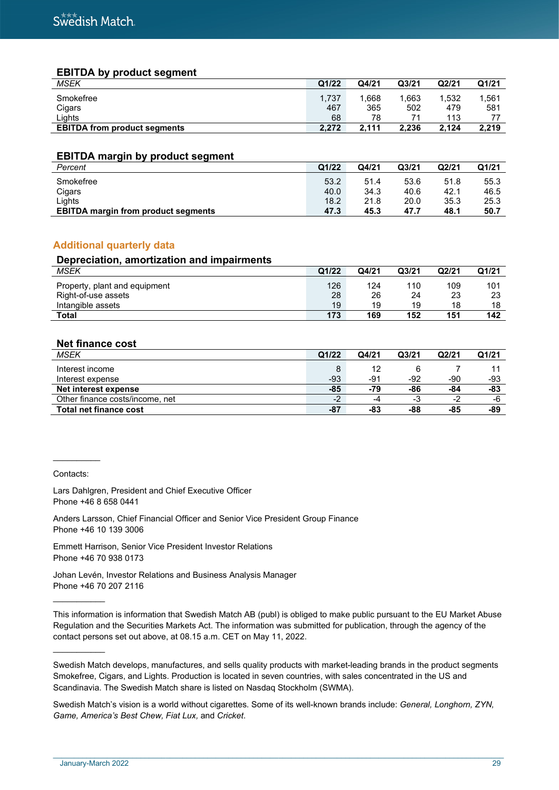### **EBITDA by product segment**

| <b>MSEK</b>                         | Q1/22     | Q4/21     | Q <sub>3/21</sub> | Q2/21      | Q1/21 |
|-------------------------------------|-----------|-----------|-------------------|------------|-------|
| Smokefree                           | 1.737     | 1.668     | .663              | 1.532      | 1.561 |
| Cigars<br>∟ights                    | 467<br>68 | 365<br>78 | 502               | 479<br>113 | 581   |
| <b>EBITDA from product segments</b> | 2.272     | 2.111     | 2.236             | 2.124      | 2,219 |

#### **EBITDA margin by product segment**

| Percent                                    | Q1/22 | Q4/21 | Q <sub>3/21</sub> | Q2/21 | Q1/21 |
|--------------------------------------------|-------|-------|-------------------|-------|-------|
| Smokefree                                  | 53.2  | 51.4  | 53.6              | 51.8  | 55.3  |
| Cigars                                     | 40.0  | 34.3  | 40.6              | 42.1  | 46.5  |
| ∟ights                                     | 18.2  | 21.8  | 20.0              | 35.3  | 25.3  |
| <b>EBITDA margin from product segments</b> | 47.3  | 45.3  | 47.7              | 48.1  | 50.7  |

### **Additional quarterly data**

#### **Depreciation, amortization and impairments**

| <b>MSEK</b>                   | Q1/22 | Q4/21 | Q <sub>3/21</sub> | Q2/21 | Q1/21 |
|-------------------------------|-------|-------|-------------------|-------|-------|
| Property, plant and equipment | 126   | 124   | 110               | 109   | 101   |
| Right-of-use assets           | 28    | 26    | 24                | 23    | 23    |
| Intangible assets             | 19    | 19    | 19                | 18    | 18    |
| Total                         | 173   | 169   | 152               | 151   | 142   |

### **Net finance cost**

| MSEK                            | Q1/22 | Q4/21 | Q <sub>3/21</sub> | Q2/21 | Q1/21 |
|---------------------------------|-------|-------|-------------------|-------|-------|
| Interest income                 |       | 12    |                   |       |       |
| Interest expense                | $-93$ | -91   | -92               | -90   | -93   |
| Net interest expense            | -85   | -79   | -86               | -84   | -83   |
| Other finance costs/income, net | $-2$  | -4    | -3                | - 1   | -6    |
| <b>Total net finance cost</b>   | $-87$ | -83   | -88               | -85   | -89   |

Contacts:

 $\frac{1}{2}$ 

 $\frac{1}{2}$ 

\_\_\_\_\_\_\_\_\_\_\_

Lars Dahlgren, President and Chief Executive Officer Phone +46 8 658 0441

Anders Larsson, Chief Financial Officer and Senior Vice President Group Finance Phone +46 10 139 3006

Emmett Harrison, Senior Vice President Investor Relations Phone +46 70 938 0173

Johan Levén, Investor Relations and Business Analysis Manager Phone +46 70 207 2116

This information is information that Swedish Match AB (publ) is obliged to make public pursuant to the EU Market Abuse Regulation and the Securities Markets Act. The information was submitted for publication, through the agency of the contact persons set out above, at 08.15 a.m. CET on May 11, 2022.

Swedish Match develops, manufactures, and sells quality products with market-leading brands in the product segments Smokefree, Cigars, and Lights. Production is located in seven countries, with sales concentrated in the US and Scandinavia. The Swedish Match share is listed on Nasdaq Stockholm (SWMA).

Swedish Match's vision is a world without cigarettes. Some of its well-known brands include: *General, Longhorn, ZYN, Game, America's Best Chew, Fiat Lux,* and *Cricket*.